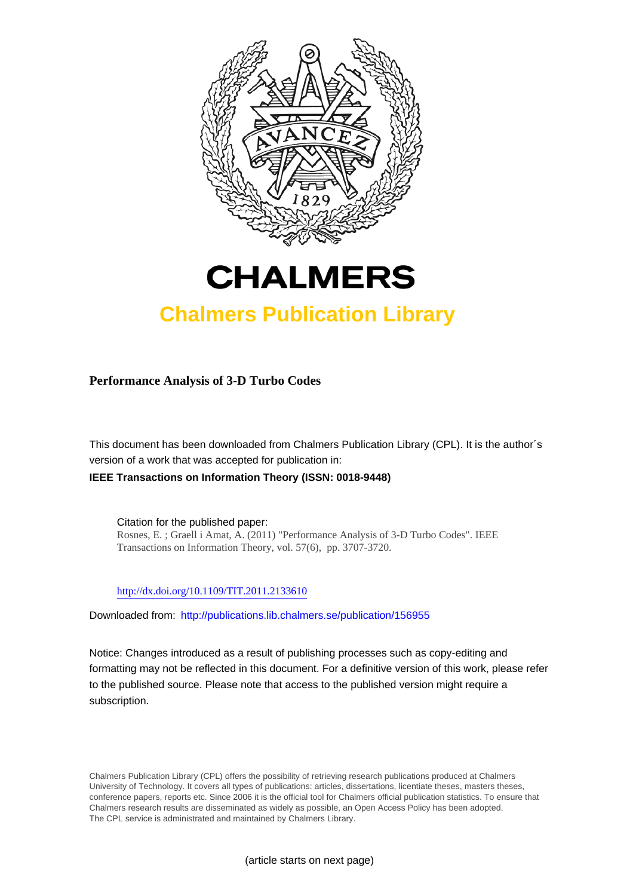



## **Chalmers Publication Library**

**Performance Analysis of 3-D Turbo Codes**

This document has been downloaded from Chalmers Publication Library (CPL). It is the author´s version of a work that was accepted for publication in: **IEEE Transactions on Information Theory (ISSN: 0018-9448)**

Citation for the published paper: Rosnes, E. ; Graell i Amat, A. (2011) "Performance Analysis of 3-D Turbo Codes". IEEE Transactions on Information Theory, vol. 57(6), pp. 3707-3720.

<http://dx.doi.org/10.1109/TIT.2011.2133610>

Downloaded from: <http://publications.lib.chalmers.se/publication/156955>

Notice: Changes introduced as a result of publishing processes such as copy-editing and formatting may not be reflected in this document. For a definitive version of this work, please refer to the published source. Please note that access to the published version might require a subscription.

Chalmers Publication Library (CPL) offers the possibility of retrieving research publications produced at Chalmers University of Technology. It covers all types of publications: articles, dissertations, licentiate theses, masters theses, conference papers, reports etc. Since 2006 it is the official tool for Chalmers official publication statistics. To ensure that Chalmers research results are disseminated as widely as possible, an Open Access Policy has been adopted. The CPL service is administrated and maintained by Chalmers Library.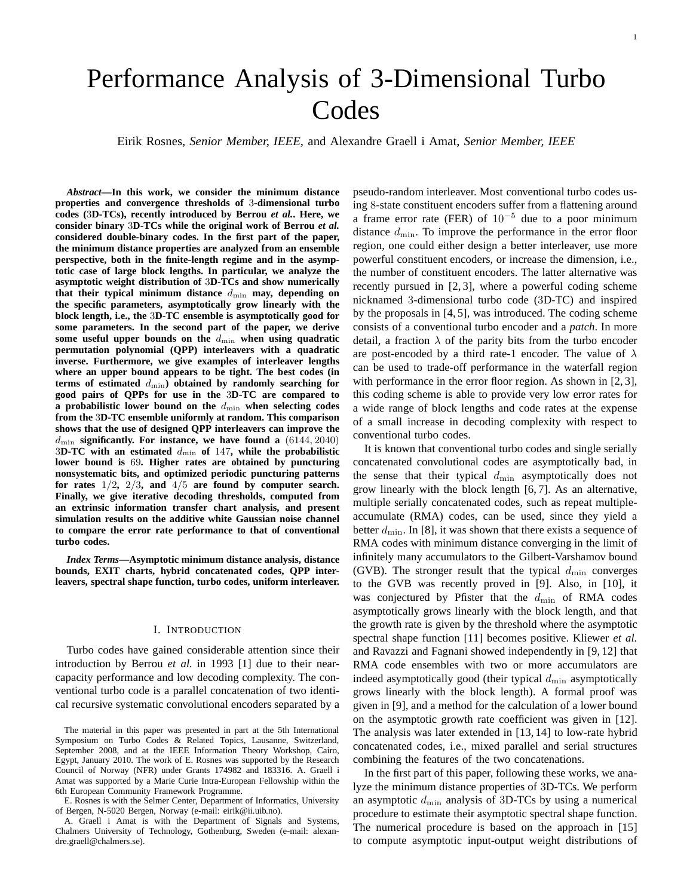# Performance Analysis of 3-Dimensional Turbo **Codes**

Eirik Rosnes, *Senior Member, IEEE,* and Alexandre Graell i Amat, *Senior Member, IEEE*

*Abstract***—In this work, we consider the minimum distance properties and convergence thresholds of** 3**-dimensional turbo codes (**3**D-TCs), recently introduced by Berrou** *et al.***. Here, we consider binary** 3**D-TCs while the original work of Berrou** *et al.* **considered double-binary codes. In the first part of the paper, the minimum distance properties are analyzed from an ensemble perspective, both in the finite-length regime and in the asymptotic case of large block lengths. In particular, we analyze the asymptotic weight distribution of** 3**D-TCs and show numerically** that their typical minimum distance  $d_{\min}$  may, depending on **the specific parameters, asymptotically grow linearly with the block length, i.e., the** 3**D-TC ensemble is asymptotically good for some parameters. In the second part of the paper, we derive** some useful upper bounds on the  $d_{\min}$  when using quadratic **permutation polynomial (QPP) interleavers with a quadratic inverse. Furthermore, we give examples of interleaver lengths where an upper bound appears to be tight. The best codes (in** terms of estimated  $d_{\min}$ ) obtained by randomly searching for **good pairs of QPPs for use in the** 3**D-TC are compared to** a probabilistic lower bound on the  $d_{\min}$  when selecting codes **from the** 3**D-TC ensemble uniformly at random. This comparison shows that the use of designed QPP interleavers can improve the** dmin **significantly. For instance, we have found a** (6144, 2040) 3**D-TC with an estimated** dmin **of** 147**, while the probabilistic lower bound is** 69**. Higher rates are obtained by puncturing nonsystematic bits, and optimized periodic puncturing patterns for rates** 1/2**,** 2/3**, and** 4/5 **are found by computer search. Finally, we give iterative decoding thresholds, computed from an extrinsic information transfer chart analysis, and present simulation results on the additive white Gaussian noise channel to compare the error rate performance to that of conventional turbo codes.**

*Index Terms***—Asymptotic minimum distance analysis, distance bounds, EXIT charts, hybrid concatenated codes, QPP interleavers, spectral shape function, turbo codes, uniform interleaver.**

## I. INTRODUCTION

Turbo codes have gained considerable attention since their introduction by Berrou *et al.* in 1993 [1] due to their nearcapacity performance and low decoding complexity. The conventional turbo code is a parallel concatenation of two identical recursive systematic convolutional encoders separated by a

pseudo-random interleaver. Most conventional turbo codes using 8-state constituent encoders suffer from a flattening around a frame error rate (FER) of  $10^{-5}$  due to a poor minimum distance  $d_{\min}$ . To improve the performance in the error floor region, one could either design a better interleaver, use more powerful constituent encoders, or increase the dimension, i.e., the number of constituent encoders. The latter alternative was recently pursued in [2, 3], where a powerful coding scheme nicknamed 3-dimensional turbo code (3D-TC) and inspired by the proposals in [4, 5], was introduced. The coding scheme consists of a conventional turbo encoder and a *patch*. In more detail, a fraction  $\lambda$  of the parity bits from the turbo encoder are post-encoded by a third rate-1 encoder. The value of  $\lambda$ can be used to trade-off performance in the waterfall region with performance in the error floor region. As shown in [2, 3], this coding scheme is able to provide very low error rates for a wide range of block lengths and code rates at the expense of a small increase in decoding complexity with respect to conventional turbo codes.

It is known that conventional turbo codes and single serially concatenated convolutional codes are asymptotically bad, in the sense that their typical  $d_{\min}$  asymptotically does not grow linearly with the block length [6, 7]. As an alternative, multiple serially concatenated codes, such as repeat multipleaccumulate (RMA) codes, can be used, since they yield a better  $d_{\min}$ . In [8], it was shown that there exists a sequence of RMA codes with minimum distance converging in the limit of infinitely many accumulators to the Gilbert-Varshamov bound (GVB). The stronger result that the typical  $d_{\min}$  converges to the GVB was recently proved in [9]. Also, in [10], it was conjectured by Pfister that the  $d_{\min}$  of RMA codes asymptotically grows linearly with the block length, and that the growth rate is given by the threshold where the asymptotic spectral shape function [11] becomes positive. Kliewer *et al.* and Ravazzi and Fagnani showed independently in [9, 12] that RMA code ensembles with two or more accumulators are indeed asymptotically good (their typical  $d_{\min}$  asymptotically grows linearly with the block length). A formal proof was given in [9], and a method for the calculation of a lower bound on the asymptotic growth rate coefficient was given in [12]. The analysis was later extended in [13, 14] to low-rate hybrid concatenated codes, i.e., mixed parallel and serial structures combining the features of the two concatenations.

In the first part of this paper, following these works, we analyze the minimum distance properties of 3D-TCs. We perform an asymptotic  $d_{\min}$  analysis of 3D-TCs by using a numerical procedure to estimate their asymptotic spectral shape function. The numerical procedure is based on the approach in [15] to compute asymptotic input-output weight distributions of

The material in this paper was presented in part at the 5th International Symposium on Turbo Codes & Related Topics, Lausanne, Switzerland, September 2008, and at the IEEE Information Theory Workshop, Cairo, Egypt, January 2010. The work of E. Rosnes was supported by the Research Council of Norway (NFR) under Grants 174982 and 183316. A. Graell i Amat was supported by a Marie Curie Intra-European Fellowship within the 6th European Community Framework Programme.

E. Rosnes is with the Selmer Center, Department of Informatics, University of Bergen, N-5020 Bergen, Norway (e-mail: eirik@ii.uib.no).

A. Graell i Amat is with the Department of Signals and Systems, Chalmers University of Technology, Gothenburg, Sweden (e-mail: alexandre.graell@chalmers.se).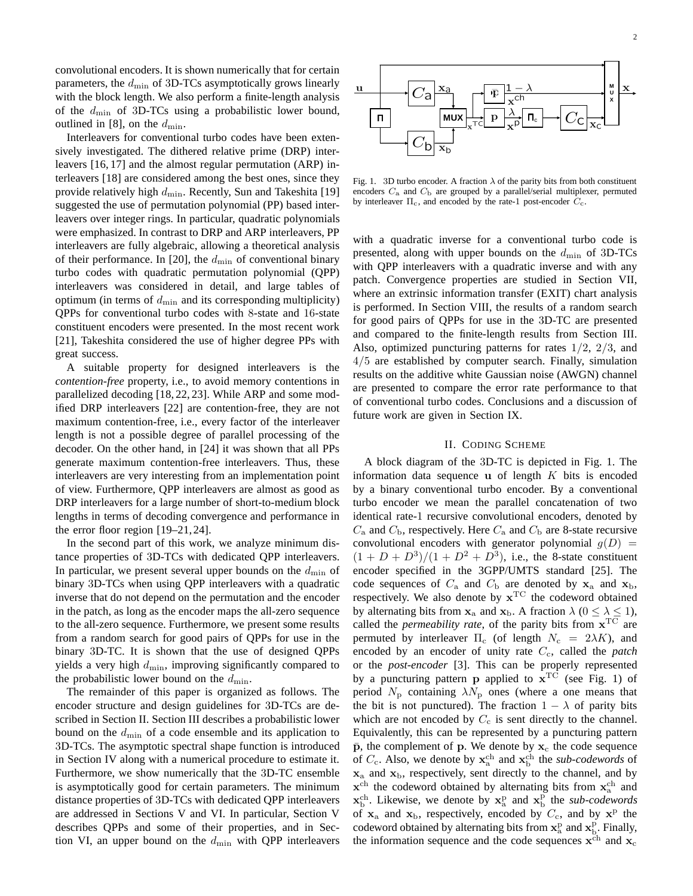convolutional encoders. It is shown numerically that for certain parameters, the  $d_{\min}$  of 3D-TCs asymptotically grows linearly with the block length. We also perform a finite-length analysis of the  $d_{\text{min}}$  of 3D-TCs using a probabilistic lower bound, outlined in [8], on the  $d_{\min}$ .

Interleavers for conventional turbo codes have been extensively investigated. The dithered relative prime (DRP) interleavers [16, 17] and the almost regular permutation (ARP) interleavers [18] are considered among the best ones, since they provide relatively high  $d_{\min}$ . Recently, Sun and Takeshita [19] suggested the use of permutation polynomial (PP) based interleavers over integer rings. In particular, quadratic polynomials were emphasized. In contrast to DRP and ARP interleavers, PP interleavers are fully algebraic, allowing a theoretical analysis of their performance. In [20], the  $d_{\min}$  of conventional binary turbo codes with quadratic permutation polynomial (QPP) interleavers was considered in detail, and large tables of optimum (in terms of  $d_{\min}$  and its corresponding multiplicity) QPPs for conventional turbo codes with 8-state and 16-state constituent encoders were presented. In the most recent work [21], Takeshita considered the use of higher degree PPs with great success.

A suitable property for designed interleavers is the *contention-free* property, i.e., to avoid memory contentions in parallelized decoding [18, 22, 23]. While ARP and some modified DRP interleavers [22] are contention-free, they are not maximum contention-free, i.e., every factor of the interleaver length is not a possible degree of parallel processing of the decoder. On the other hand, in [24] it was shown that all PPs generate maximum contention-free interleavers. Thus, these interleavers are very interesting from an implementation point of view. Furthermore, QPP interleavers are almost as good as DRP interleavers for a large number of short-to-medium block lengths in terms of decoding convergence and performance in the error floor region [19–21,24].

In the second part of this work, we analyze minimum distance properties of 3D-TCs with dedicated QPP interleavers. In particular, we present several upper bounds on the  $d_{\min}$  of binary 3D-TCs when using QPP interleavers with a quadratic inverse that do not depend on the permutation and the encoder in the patch, as long as the encoder maps the all-zero sequence to the all-zero sequence. Furthermore, we present some results from a random search for good pairs of QPPs for use in the binary 3D-TC. It is shown that the use of designed QPPs yields a very high  $d_{\min}$ , improving significantly compared to the probabilistic lower bound on the  $d_{\min}$ .

The remainder of this paper is organized as follows. The encoder structure and design guidelines for 3D-TCs are described in Section II. Section III describes a probabilistic lower bound on the  $d_{\min}$  of a code ensemble and its application to 3D-TCs. The asymptotic spectral shape function is introduced in Section IV along with a numerical procedure to estimate it. Furthermore, we show numerically that the 3D-TC ensemble is asymptotically good for certain parameters. The minimum distance properties of 3D-TCs with dedicated QPP interleavers are addressed in Sections V and VI. In particular, Section V describes QPPs and some of their properties, and in Section VI, an upper bound on the  $d_{\min}$  with QPP interleavers



Fig. 1. 3D turbo encoder. A fraction  $\lambda$  of the parity bits from both constituent encoders  $C_a$  and  $C_b$  are grouped by a parallel/serial multiplexer, permuted by interleaver  $\Pi_c$ , and encoded by the rate-1 post-encoder  $C_c$ .

with a quadratic inverse for a conventional turbo code is presented, along with upper bounds on the  $d_{\min}$  of 3D-TCs with QPP interleavers with a quadratic inverse and with any patch. Convergence properties are studied in Section VII, where an extrinsic information transfer (EXIT) chart analysis is performed. In Section VIII, the results of a random search for good pairs of QPPs for use in the 3D-TC are presented and compared to the finite-length results from Section III. Also, optimized puncturing patterns for rates 1/2, 2/3, and 4/5 are established by computer search. Finally, simulation results on the additive white Gaussian noise (AWGN) channel are presented to compare the error rate performance to that of conventional turbo codes. Conclusions and a discussion of future work are given in Section IX.

#### II. CODING SCHEME

A block diagram of the 3D-TC is depicted in Fig. 1. The information data sequence  $\bf{u}$  of length  $K$  bits is encoded by a binary conventional turbo encoder. By a conventional turbo encoder we mean the parallel concatenation of two identical rate-1 recursive convolutional encoders, denoted by  $C_a$  and  $C_b$ , respectively. Here  $C_a$  and  $C_b$  are 8-state recursive convolutional encoders with generator polynomial  $g(D)$  =  $(1 + D + D^3)/(1 + D^2 + D^3)$ , i.e., the 8-state constituent encoder specified in the 3GPP/UMTS standard [25]. The code sequences of  $C_a$  and  $C_b$  are denoted by  $x_a$  and  $x_b$ , respectively. We also denote by  $x^{\text{TC}}$  the codeword obtained by alternating bits from  $\mathbf{x}_a$  and  $\mathbf{x}_b$ . A fraction  $\lambda$  ( $0 \leq \lambda \leq 1$ ), called the *permeability rate*, of the parity bits from  $x^{\text{TC}}$  are permuted by interleaver  $\Pi_c$  (of length  $N_c = 2\lambda K$ ), and encoded by an encoder of unity rate  $C_c$ , called the *patch* or the *post-encoder* [3]. This can be properly represented by a puncturing pattern **p** applied to  $\mathbf{x}^{\text{TC}}$  (see Fig. 1) of period  $N_{\rm p}$  containing  $\lambda N_{\rm p}$  ones (where a one means that the bit is not punctured). The fraction  $1 - \lambda$  of parity bits which are not encoded by  $C_c$  is sent directly to the channel. Equivalently, this can be represented by a puncturing pattern  $\bar{p}$ , the complement of p. We denote by  $x_c$  the code sequence of  $C_c$ . Also, we denote by  $\mathbf{x}_a^{\text{ch}}$  and  $\mathbf{x}_b^{\text{ch}}$  the *sub-codewords* of  $x_a$  and  $x_b$ , respectively, sent directly to the channel, and by  $\mathbf{x}^{\text{ch}}$  the codeword obtained by alternating bits from  $\mathbf{x}_{\text{a}}^{\text{ch}}$  and  $\mathbf{x}_{\mathrm{b}}^{\mathrm{ch}}$ . Likewise, we denote by  $\mathbf{x}_{\mathrm{a}}^{\mathrm{p}}$  and  $\mathbf{x}_{\mathrm{b}}^{\mathrm{p}}$  the *sub-codewords* of  $x_a$  and  $x_b$ , respectively, encoded by  $C_c$ , and by  $x^p$  the codeword obtained by alternating bits from  $\mathbf{x}_{a}^{p}$  and  $\mathbf{x}_{b}^{p}$ . Finally, the information sequence and the code sequences  $x^{ch}$  and  $x_c$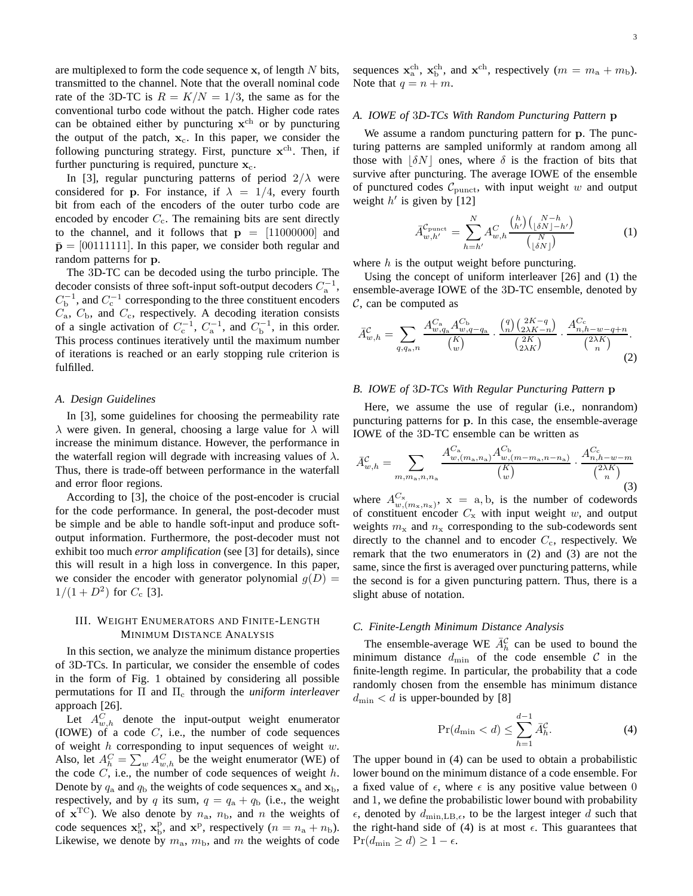are multiplexed to form the code sequence  $x$ , of length  $N$  bits, transmitted to the channel. Note that the overall nominal code rate of the 3D-TC is  $R = K/N = 1/3$ , the same as for the conventional turbo code without the patch. Higher code rates can be obtained either by puncturing  $x<sup>ch</sup>$  or by puncturing the output of the patch,  $x_c$ . In this paper, we consider the following puncturing strategy. First, puncture  $x^{ch}$ . Then, if further puncturing is required, puncture  $x_c$ .

In [3], regular puncturing patterns of period  $2/\lambda$  were considered for p. For instance, if  $\lambda = 1/4$ , every fourth bit from each of the encoders of the outer turbo code are encoded by encoder  $C_c$ . The remaining bits are sent directly to the channel, and it follows that  $p = [11000000]$  and  $\bar{\mathbf{p}} = [00111111]$ . In this paper, we consider both regular and random patterns for p.

The 3D-TC can be decoded using the turbo principle. The decoder consists of three soft-input soft-output decoders  $C_a^{-1}$ ,  $C_b^{-1}$ , and  $C_c^{-1}$  corresponding to the three constituent encoders  $C_a$ ,  $C_b$ , and  $C_c$ , respectively. A decoding iteration consists of a single activation of  $C_c^{-1}$ ,  $C_a^{-1}$ , and  $C_b^{-1}$ , in this order. This process continues iteratively until the maximum number of iterations is reached or an early stopping rule criterion is fulfilled.

## *A. Design Guidelines*

In [3], some guidelines for choosing the permeability rate  $\lambda$  were given. In general, choosing a large value for  $\lambda$  will increase the minimum distance. However, the performance in the waterfall region will degrade with increasing values of  $\lambda$ . Thus, there is trade-off between performance in the waterfall and error floor regions.

According to [3], the choice of the post-encoder is crucial for the code performance. In general, the post-decoder must be simple and be able to handle soft-input and produce softoutput information. Furthermore, the post-decoder must not exhibit too much *error amplification* (see [3] for details), since this will result in a high loss in convergence. In this paper, we consider the encoder with generator polynomial  $g(D)$  =  $1/(1+D^2)$  for  $C_c$  [3].

## III. WEIGHT ENUMERATORS AND FINITE-LENGTH MINIMUM DISTANCE ANALYSIS

In this section, we analyze the minimum distance properties of 3D-TCs. In particular, we consider the ensemble of codes in the form of Fig. 1 obtained by considering all possible permutations for Π and Π<sup>c</sup> through the *uniform interleaver* approach [26].

Let  $A_{w,h}^C$  denote the input-output weight enumerator (IOWE) of a code  $C$ , i.e., the number of code sequences of weight  $h$  corresponding to input sequences of weight  $w$ . Also, let  $A_h^C = \sum_w A_{w,h}^C$  be the weight enumerator (WE) of the code  $C$ , i.e., the number of code sequences of weight  $h$ . Denote by  $q_a$  and  $q_b$  the weights of code sequences  $x_a$  and  $x_b$ , respectively, and by q its sum,  $q = q_a + q_b$  (i.e., the weight of  $\mathbf{x}^{\text{TC}}$ ). We also denote by  $n_{\text{a}}$ ,  $n_{\text{b}}$ , and n the weights of code sequences  $\mathbf{x}_{a}^{p}$ ,  $\mathbf{x}_{b}^{p}$ , and  $\mathbf{x}^{p}$ , respectively  $(n = n_{a} + n_{b})$ . Likewise, we denote by  $m_a$ ,  $m_b$ , and m the weights of code

sequences  $\mathbf{x}_{a}^{\text{ch}}, \mathbf{x}_{b}^{\text{ch}},$  and  $\mathbf{x}^{\text{ch}},$  respectively  $(m = m_{a} + m_{b})$ . Note that  $q = n + m$ .

#### *A. IOWE of* 3*D-TCs With Random Puncturing Pattern* p

We assume a random puncturing pattern for **p**. The puncturing patterns are sampled uniformly at random among all those with  $|\delta N|$  ones, where  $\delta$  is the fraction of bits that survive after puncturing. The average IOWE of the ensemble of punctured codes  $\mathcal{C}_{\text{punct}}$ , with input weight w and output weight  $h'$  is given by [12]

$$
\bar{A}_{w,h'}^{\mathcal{C}_{\text{punct}}} = \sum_{h=h'}^{N} A_{w,h}^C \frac{\binom{h}{h'} \binom{N-h}{\lfloor \delta N \rfloor - h'}}{\binom{N}{\lfloor \delta N \rfloor}}
$$
(1)

where  $h$  is the output weight before puncturing.

Using the concept of uniform interleaver [26] and (1) the ensemble-average IOWE of the 3D-TC ensemble, denoted by  $C$ , can be computed as

$$
\bar{A}_{w,h}^{\mathcal{C}} = \sum_{q,q_a,n} \frac{A_{w,q_a}^{C_a} A_{w,q-q_a}^{C_b}}{\binom{K}{w}} \cdot \frac{\binom{q}{n} \binom{2K-q}{2\lambda K-n}}{\binom{2K}{2\lambda K}} \cdot \frac{A_{n,h-w-q+n}^{C_c}}{\binom{2\lambda K}{n}}.
$$
\n(2)

## *B. IOWE of* 3*D-TCs With Regular Puncturing Pattern* p

Here, we assume the use of regular (i.e., nonrandom) puncturing patterns for p. In this case, the ensemble-average IOWE of the 3D-TC ensemble can be written as

$$
\bar{A}_{w,h}^{\mathcal{C}} = \sum_{m,m_{\rm a},n,n_{\rm a}} \frac{A_{w,(m_{\rm a},n_{\rm a})}^{C_{\rm a}} A_{w,(m-m_{\rm a},n-n_{\rm a})}^{C_{\rm b}}}{\binom{K}{w}} \cdot \frac{A_{n,h-w-m}^{C_{\rm c}}}{\binom{2\lambda K}{n}} \tag{3}
$$

where  $A_{w,(m_x,n_x)}^{C_x}$ ,  $x = a, b$ , is the number of codewords of constituent encoder  $C_x$  with input weight w, and output weights  $m_x$  and  $n_x$  corresponding to the sub-codewords sent directly to the channel and to encoder  $C_c$ , respectively. We remark that the two enumerators in (2) and (3) are not the same, since the first is averaged over puncturing patterns, while the second is for a given puncturing pattern. Thus, there is a slight abuse of notation.

## *C. Finite-Length Minimum Distance Analysis*

The ensemble-average WE  $\bar{A}_h^{\mathcal{C}}$  can be used to bound the minimum distance  $d_{\min}$  of the code ensemble C in the finite-length regime. In particular, the probability that a code randomly chosen from the ensemble has minimum distance  $d_{\min} < d$  is upper-bounded by [8]

$$
\Pr(d_{\min} < d) \le \sum_{h=1}^{d-1} \bar{A}_h^{\mathcal{C}}.\tag{4}
$$

The upper bound in (4) can be used to obtain a probabilistic lower bound on the minimum distance of a code ensemble. For a fixed value of  $\epsilon$ , where  $\epsilon$  is any positive value between 0 and 1, we define the probabilistic lower bound with probability  $\epsilon$ , denoted by  $d_{\min, \text{LB}, \epsilon}$ , to be the largest integer d such that the right-hand side of (4) is at most  $\epsilon$ . This guarantees that  $Pr(d_{\min} \ge d) \ge 1 - \epsilon$ .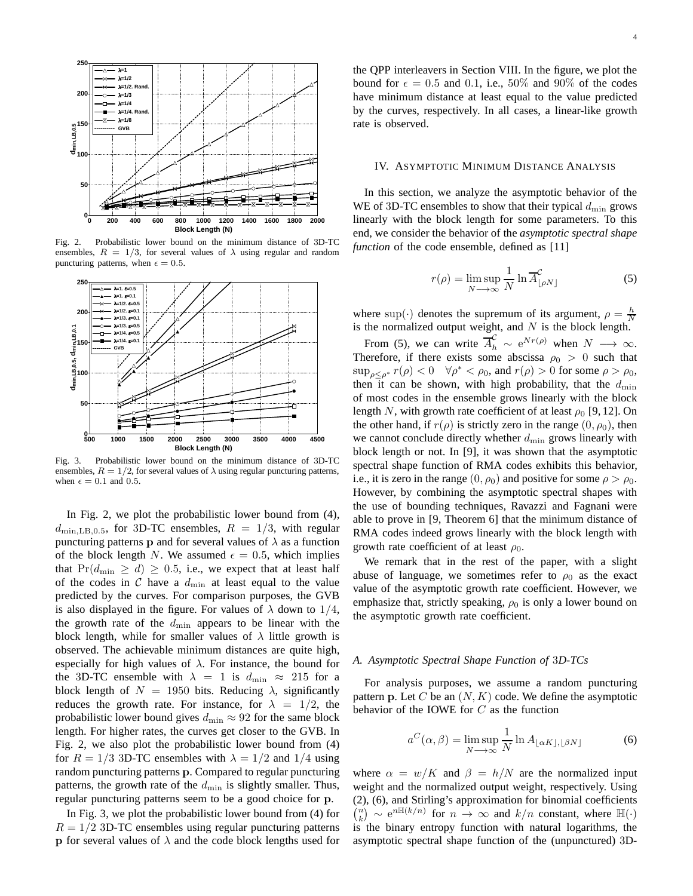

Fig. 2. Probabilistic lower bound on the minimum distance of 3D-TC ensembles,  $R = 1/3$ , for several values of  $\lambda$  using regular and random puncturing patterns, when  $\epsilon = 0.5$ .



Fig. 3. Probabilistic lower bound on the minimum distance of 3D-TC ensembles,  $R = 1/2$ , for several values of  $\lambda$  using regular puncturing patterns, when  $\epsilon = 0.1$  and 0.5.

In Fig. 2, we plot the probabilistic lower bound from (4),  $d_{\text{min, LB},0.5}$ , for 3D-TC ensembles,  $R = 1/3$ , with regular puncturing patterns p and for several values of  $\lambda$  as a function of the block length N. We assumed  $\epsilon = 0.5$ , which implies that  $Pr(d_{\min} \ge d) \ge 0.5$ , i.e., we expect that at least half of the codes in  $\mathcal C$  have a  $d_{\min}$  at least equal to the value predicted by the curves. For comparison purposes, the GVB is also displayed in the figure. For values of  $\lambda$  down to 1/4, the growth rate of the  $d_{\min}$  appears to be linear with the block length, while for smaller values of  $\lambda$  little growth is observed. The achievable minimum distances are quite high, especially for high values of  $\lambda$ . For instance, the bound for the 3D-TC ensemble with  $\lambda = 1$  is  $d_{\min} \approx 215$  for a block length of  $N = 1950$  bits. Reducing  $\lambda$ , significantly reduces the growth rate. For instance, for  $\lambda = 1/2$ , the probabilistic lower bound gives  $d_{\min} \approx 92$  for the same block length. For higher rates, the curves get closer to the GVB. In Fig. 2, we also plot the probabilistic lower bound from (4) for  $R = 1/3$  3D-TC ensembles with  $\lambda = 1/2$  and  $1/4$  using random puncturing patterns p. Compared to regular puncturing patterns, the growth rate of the  $d_{\min}$  is slightly smaller. Thus, regular puncturing patterns seem to be a good choice for p.

In Fig. 3, we plot the probabilistic lower bound from (4) for  $R = 1/2$  3D-TC ensembles using regular puncturing patterns p for several values of  $\lambda$  and the code block lengths used for

the QPP interleavers in Section VIII. In the figure, we plot the bound for  $\epsilon = 0.5$  and 0.1, i.e., 50% and 90% of the codes have minimum distance at least equal to the value predicted by the curves, respectively. In all cases, a linear-like growth rate is observed.

#### IV. ASYMPTOTIC MINIMUM DISTANCE ANALYSIS

In this section, we analyze the asymptotic behavior of the WE of 3D-TC ensembles to show that their typical  $d_{\min}$  grows linearly with the block length for some parameters. To this end, we consider the behavior of the *asymptotic spectral shape function* of the code ensemble, defined as [11]

$$
r(\rho) = \limsup_{N \to \infty} \frac{1}{N} \ln \overline{A}_{\lfloor \rho N \rfloor}^{\mathcal{C}} \tag{5}
$$

where sup( $\cdot$ ) denotes the supremum of its argument,  $\rho = \frac{h}{N}$ is the normalized output weight, and  $N$  is the block length.

From (5), we can write  $\overline{A}_{h}^{C} \sim e^{Nr(\rho)}$  when  $N \longrightarrow \infty$ . Therefore, if there exists some abscissa  $\rho_0 > 0$  such that  $\sup_{\rho \le \rho^*} r(\rho) < 0 \quad \forall \rho^* < \rho_0$ , and  $r(\rho) > 0$  for some  $\rho > \rho_0$ , then it can be shown, with high probability, that the  $d_{\min}$ of most codes in the ensemble grows linearly with the block length N, with growth rate coefficient of at least  $\rho_0$  [9, 12]. On the other hand, if  $r(\rho)$  is strictly zero in the range  $(0, \rho_0)$ , then we cannot conclude directly whether  $d_{\min}$  grows linearly with block length or not. In [9], it was shown that the asymptotic spectral shape function of RMA codes exhibits this behavior, i.e., it is zero in the range  $(0, \rho_0)$  and positive for some  $\rho > \rho_0$ . However, by combining the asymptotic spectral shapes with the use of bounding techniques, Ravazzi and Fagnani were able to prove in [9, Theorem 6] that the minimum distance of RMA codes indeed grows linearly with the block length with growth rate coefficient of at least  $\rho_0$ .

We remark that in the rest of the paper, with a slight abuse of language, we sometimes refer to  $\rho_0$  as the exact value of the asymptotic growth rate coefficient. However, we emphasize that, strictly speaking,  $\rho_0$  is only a lower bound on the asymptotic growth rate coefficient.

## *A. Asymptotic Spectral Shape Function of* 3*D-TCs*

For analysis purposes, we assume a random puncturing pattern p. Let C be an  $(N, K)$  code. We define the asymptotic behavior of the IOWE for  $C$  as the function

$$
a^{C}(\alpha, \beta) = \limsup_{N \to \infty} \frac{1}{N} \ln A_{\lfloor \alpha K \rfloor, \lfloor \beta N \rfloor}
$$
 (6)

where  $\alpha = w/K$  and  $\beta = h/N$  are the normalized input weight and the normalized output weight, respectively. Using (2), (6), and Stirling's approximation for binomial coefficients  $\binom{n}{k} \sim e^{n\mathbb{H}(k/n)}$  for  $n \to \infty$  and  $k/n$  constant, where  $\mathbb{H}(\cdot)$ is the binary entropy function with natural logarithms, the asymptotic spectral shape function of the (unpunctured) 3D-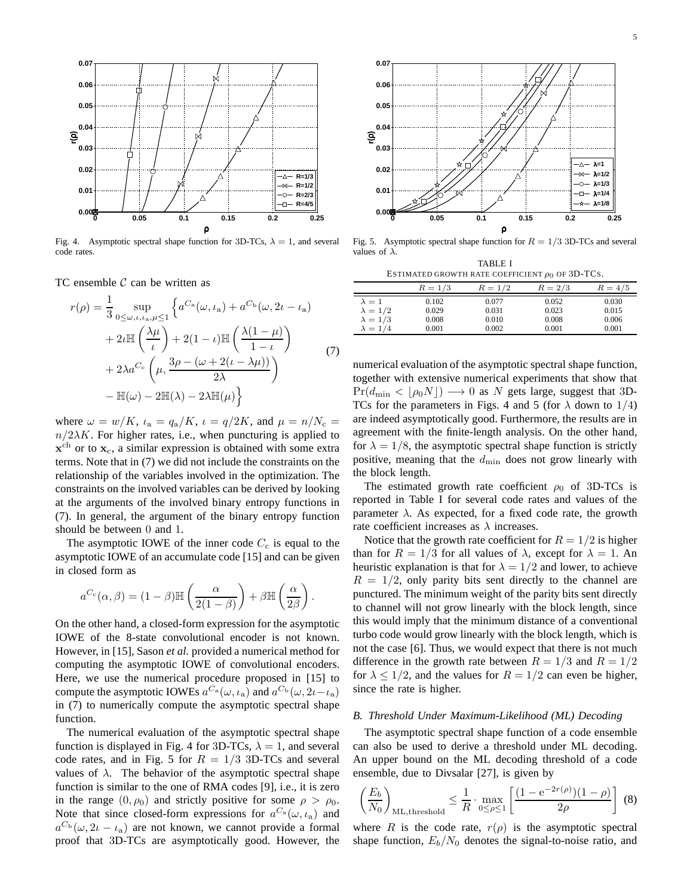

Fig. 4. Asymptotic spectral shape function for 3D-TCs,  $\lambda = 1$ , and several code rates.

TC ensemble  $C$  can be written as

$$
r(\rho) = \frac{1}{3} \sup_{0 \le \omega, \iota, \iota_a, \mu \le 1} \left\{ a^{C_a}(\omega, \iota_a) + a^{C_b}(\omega, 2\iota - \iota_a) \right\}
$$
  
+ 
$$
2\iota \mathbb{H} \left( \frac{\lambda \mu}{\iota} \right) + 2(1 - \iota) \mathbb{H} \left( \frac{\lambda(1 - \mu)}{1 - \iota} \right)
$$
  
+ 
$$
2\lambda a^{C_c} \left( \mu, \frac{3\rho - (\omega + 2(\iota - \lambda \mu))}{2\lambda} \right)
$$
  
- 
$$
\mathbb{H}(\omega) - 2\mathbb{H}(\lambda) - 2\lambda \mathbb{H}(\mu) \right\}
$$
 (7)

where  $\omega = w/K$ ,  $\iota_a = q_a/K$ ,  $\iota = q/2K$ , and  $\mu = n/N_c =$  $n/2\lambda K$ . For higher rates, i.e., when puncturing is applied to  $\mathbf{x}^{\text{ch}}$  or to  $\mathbf{x}_{\text{c}}$ , a similar expression is obtained with some extra terms. Note that in (7) we did not include the constraints on the relationship of the variables involved in the optimization. The constraints on the involved variables can be derived by looking at the arguments of the involved binary entropy functions in (7). In general, the argument of the binary entropy function should be between 0 and 1.

The asymptotic IOWE of the inner code  $C_c$  is equal to the asymptotic IOWE of an accumulate code [15] and can be given in closed form as

$$
a^{C_c}(\alpha, \beta) = (1 - \beta) \mathbb{H}\left(\frac{\alpha}{2(1 - \beta)}\right) + \beta \mathbb{H}\left(\frac{\alpha}{2\beta}\right).
$$

On the other hand, a closed-form expression for the asymptotic IOWE of the 8-state convolutional encoder is not known. However, in [15], Sason *et al.* provided a numerical method for computing the asymptotic IOWE of convolutional encoders. Here, we use the numerical procedure proposed in [15] to compute the asymptotic IOWEs  $a^{C_a}(\omega, \iota_a)$  and  $a^{C_b}(\omega, 2\iota - \iota_a)$ in (7) to numerically compute the asymptotic spectral shape function.

The numerical evaluation of the asymptotic spectral shape function is displayed in Fig. 4 for 3D-TCs,  $\lambda = 1$ , and several code rates, and in Fig. 5 for  $R = 1/3$  3D-TCs and several values of  $\lambda$ . The behavior of the asymptotic spectral shape function is similar to the one of RMA codes [9], i.e., it is zero in the range  $(0, \rho_0)$  and strictly positive for some  $\rho > \rho_0$ . Note that since closed-form expressions for  $a^{C_a}(\omega, \iota_a)$  and  $a^{C_b}(\omega, 2\iota - \iota_a)$  are not known, we cannot provide a formal proof that 3D-TCs are asymptotically good. However, the



Fig. 5. Asymptotic spectral shape function for  $R = 1/3$  3D-TCs and several values of  $\lambda$ .

TABLE I ESTIMATED GROWTH RATE COEFFICIENT  $\rho_0$  OF 3D-TCs.

÷,

|                 | $R = 1/3$ | $R = 1/2$ | $R = 2/3$ | $R = 4/5$ |
|-----------------|-----------|-----------|-----------|-----------|
| $\lambda = 1$   | 0.102     | 0.077     | 0.052     | 0.030     |
| $\lambda = 1/2$ | 0.029     | 0.031     | 0.023     | 0.015     |
| $\lambda = 1/3$ | 0.008     | 0.010     | 0.008     | 0.006     |
| $\lambda = 1/4$ | 0.001     | 0.002     | 0.001     | 0.001     |
|                 |           |           |           |           |

numerical evaluation of the asymptotic spectral shape function, together with extensive numerical experiments that show that  $Pr(d_{\min} < \lfloor \rho_0 N \rfloor) \longrightarrow 0$  as N gets large, suggest that 3D-TCs for the parameters in Figs. 4 and 5 (for  $\lambda$  down to 1/4) are indeed asymptotically good. Furthermore, the results are in agreement with the finite-length analysis. On the other hand, for  $\lambda = 1/8$ , the asymptotic spectral shape function is strictly positive, meaning that the  $d_{\min}$  does not grow linearly with the block length.

The estimated growth rate coefficient  $\rho_0$  of 3D-TCs is reported in Table I for several code rates and values of the parameter  $\lambda$ . As expected, for a fixed code rate, the growth rate coefficient increases as  $\lambda$  increases.

Notice that the growth rate coefficient for  $R = 1/2$  is higher than for  $R = 1/3$  for all values of  $\lambda$ , except for  $\lambda = 1$ . An heuristic explanation is that for  $\lambda = 1/2$  and lower, to achieve  $R = 1/2$ , only parity bits sent directly to the channel are punctured. The minimum weight of the parity bits sent directly to channel will not grow linearly with the block length, since this would imply that the minimum distance of a conventional turbo code would grow linearly with the block length, which is not the case [6]. Thus, we would expect that there is not much difference in the growth rate between  $R = 1/3$  and  $R = 1/2$ for  $\lambda \leq 1/2$ , and the values for  $R = 1/2$  can even be higher, since the rate is higher.

#### *B. Threshold Under Maximum-Likelihood (ML) Decoding*

The asymptotic spectral shape function of a code ensemble can also be used to derive a threshold under ML decoding. An upper bound on the ML decoding threshold of a code ensemble, due to Divsalar [27], is given by

$$
\left(\frac{E_b}{N_0}\right)_{\text{ML,threshold}} \le \frac{1}{R} \cdot \max_{0 \le \rho \le 1} \left[ \frac{(1 - e^{-2r(\rho)})(1 - \rho)}{2\rho} \right] \tag{8}
$$

where R is the code rate,  $r(\rho)$  is the asymptotic spectral shape function,  $E_b/N_0$  denotes the signal-to-noise ratio, and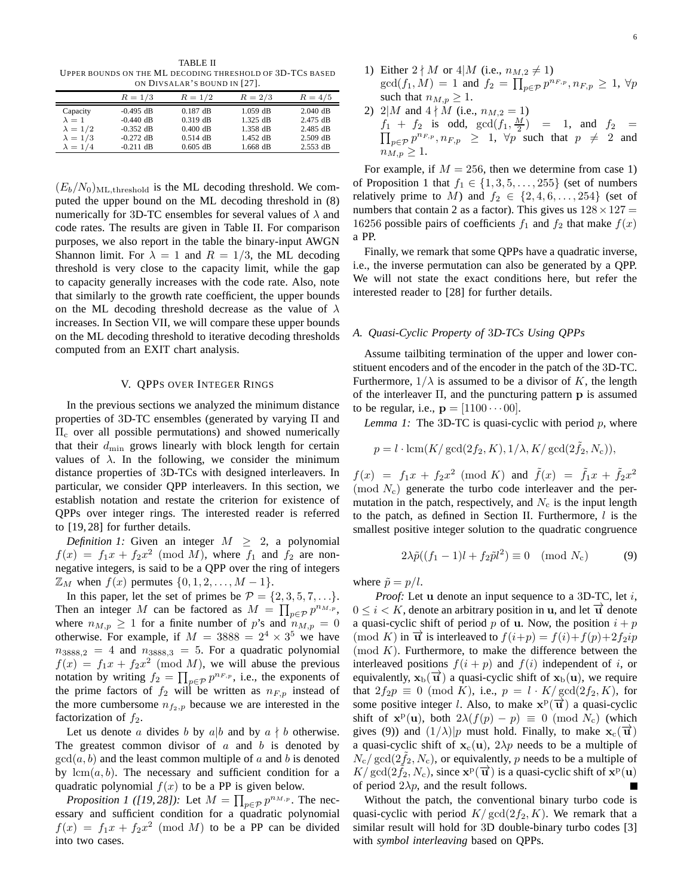TABLE II UPPER BOUNDS ON THE ML DECODING THRESHOLD OF 3D-TCS BASED ON DIVSALAR'S BOUND IN [27].

|                 | ON DIVSALAR S BOUND IN $\lfloor 27 \rfloor$ . |            |            |            |  |  |  |  |  |  |
|-----------------|-----------------------------------------------|------------|------------|------------|--|--|--|--|--|--|
|                 | $R = 1/3$                                     | $R = 1/2$  | $R = 2/3$  | $R = 4/5$  |  |  |  |  |  |  |
| Capacity        | $-0.495$ dB                                   | $0.187$ dB | $1.059$ dB | $2.040$ dB |  |  |  |  |  |  |
| $\lambda = 1$   | $-0.440$ dB                                   | $0.319$ dB | $1.325$ dB | 2.475 dB   |  |  |  |  |  |  |
| $\lambda = 1/2$ | $-0.352$ dB                                   | $0.400$ dB | 1.358 dB   | $2.485$ dB |  |  |  |  |  |  |
| $\lambda = 1/3$ | $-0.272$ dB                                   | $0.514$ dB | 1.452 dB   | $2.509$ dB |  |  |  |  |  |  |
| $\lambda = 1/4$ | $-0.211$ dB                                   | $0.605$ dB | $1.668$ dB | $2.553$ dB |  |  |  |  |  |  |

 $(E_b/N_0)_{ML,\text{threshold}}$  is the ML decoding threshold. We computed the upper bound on the ML decoding threshold in (8) numerically for 3D-TC ensembles for several values of  $\lambda$  and code rates. The results are given in Table II. For comparison purposes, we also report in the table the binary-input AWGN Shannon limit. For  $\lambda = 1$  and  $R = 1/3$ , the ML decoding threshold is very close to the capacity limit, while the gap to capacity generally increases with the code rate. Also, note that similarly to the growth rate coefficient, the upper bounds on the ML decoding threshold decrease as the value of  $\lambda$ increases. In Section VII, we will compare these upper bounds on the ML decoding threshold to iterative decoding thresholds computed from an EXIT chart analysis.

## V. QPPS OVER INTEGER RINGS

In the previous sections we analyzed the minimum distance properties of 3D-TC ensembles (generated by varying Π and  $\Pi_c$  over all possible permutations) and showed numerically that their  $d_{\min}$  grows linearly with block length for certain values of  $\lambda$ . In the following, we consider the minimum distance properties of 3D-TCs with designed interleavers. In particular, we consider QPP interleavers. In this section, we establish notation and restate the criterion for existence of QPPs over integer rings. The interested reader is referred to [19, 28] for further details.

*Definition 1:* Given an integer  $M \geq 2$ , a polynomial  $f(x) = f_1x + f_2x^2 \pmod{M}$ , where  $f_1$  and  $f_2$  are nonnegative integers, is said to be a QPP over the ring of integers  $\mathbb{Z}_M$  when  $f(x)$  permutes  $\{0, 1, 2, \ldots, M-1\}.$ 

In this paper, let the set of primes be  $\mathcal{P} = \{2, 3, 5, 7, \ldots\}.$ Then an integer M can be factored as  $M = \prod_{p \in \mathcal{P}} p^{n_{M,p}}$ , where  $n_{M,p} \geq 1$  for a finite number of p's and  $n_{M,p} = 0$ otherwise. For example, if  $M = 3888 = 2^4 \times 3^5$  we have  $n_{3888,2} = 4$  and  $n_{3888,3} = 5$ . For a quadratic polynomial  $f(x) = f_1x + f_2x^2 \pmod{M}$ , we will abuse the previous notation by writing  $f_2 = \prod_{p \in \mathcal{P}} p^{n_{F,p}}$ , i.e., the exponents of the prime factors of  $f_2$  will be written as  $n_{F,p}$  instead of the more cumbersome  $n_{f_2,p}$  because we are interested in the factorization of  $f_2$ .

Let us denote a divides b by a|b and by  $a \nmid b$  otherwise. The greatest common divisor of  $a$  and  $b$  is denoted by  $gcd(a, b)$  and the least common multiple of a and b is denoted by  $lcm(a, b)$ . The necessary and sufficient condition for a quadratic polynomial  $f(x)$  to be a PP is given below.

*Proposition 1 ([19, 28]):* Let  $M = \prod_{p \in \mathcal{P}} p^{n_{M,p}}$ . The necessary and sufficient condition for a quadratic polynomial  $f(x) = f_1x + f_2x^2 \pmod{M}$  to be a PP can be divided into two cases.

- 1) Either  $2 \nmid M$  or  $4 \mid M$  (i.e.,  $n_{M,2} \neq 1$ )  $gcd(f_1, M) = 1$  and  $f_2 = \prod_{p \in \mathcal{P}} p^{n_{F,p}}, n_{F,p} \ge 1, \forall p$ such that  $n_{M,p} \geq 1$ .
- 2) 2|M and  $4 \nmid M$  (i.e.,  $n_{M,2} = 1$ )  $f_1 + f_2$  is odd,  $gcd(f_1, \frac{M}{2})$ <br>  $\prod_{p \in \mathcal{P}} p^{n_{F,p}}, n_{F,p} \geq 1, \forall p$  $) = 1$ , and  $f_2 =$  $p \in \mathcal{P}^{n_{F,p}}, n_{F,p} \geq 1$ ,  $\forall p$  such that  $p \neq 2$  and  $n_{M,n} \geq 1$ .

For example, if  $M = 256$ , then we determine from case 1) of Proposition 1 that  $f_1 \in \{1, 3, 5, \ldots, 255\}$  (set of numbers relatively prime to M) and  $f_2 \in \{2, 4, 6, \ldots, 254\}$  (set of numbers that contain 2 as a factor). This gives us  $128 \times 127 =$ 16256 possible pairs of coefficients  $f_1$  and  $f_2$  that make  $f(x)$ a PP.

Finally, we remark that some QPPs have a quadratic inverse, i.e., the inverse permutation can also be generated by a QPP. We will not state the exact conditions here, but refer the interested reader to [28] for further details.

## *A. Quasi-Cyclic Property of* 3*D-TCs Using QPPs*

Assume tailbiting termination of the upper and lower constituent encoders and of the encoder in the patch of the 3D-TC. Furthermore,  $1/\lambda$  is assumed to be a divisor of K, the length of the interleaver  $\Pi$ , and the puncturing pattern p is assumed to be regular, i.e.,  $\mathbf{p} = [1100 \cdots 00]$ .

*Lemma 1:* The 3D-TC is quasi-cyclic with period p, where

$$
p = l \cdot \text{lcm}(K/\gcd(2f_2, K), 1/\lambda, K/\gcd(2\tilde{f}_2, N_c)),
$$

 $f(x) = f_1x + f_2x^2 \pmod{K}$  and  $\tilde{f}(x) = \tilde{f}_1x + \tilde{f}_2x^2$ (mod  $N_c$ ) generate the turbo code interleaver and the permutation in the patch, respectively, and  $N_c$  is the input length to the patch, as defined in Section II. Furthermore,  $l$  is the smallest positive integer solution to the quadratic congruence

$$
2\lambda \tilde{p}((f_1 - 1)l + f_2 \tilde{p}l^2) \equiv 0 \pmod{N_c} \tag{9}
$$

where  $\tilde{p} = p/l$ .

*Proof:* Let u denote an input sequence to a 3D-TC, let i,  $0 \leq i \leq K$ , denote an arbitrary position in **u**, and let  $\vec{u}$  denote a quasi-cyclic shift of period p of u. Now, the position  $i + p$ (mod K) in  $\vec{u}$  is interleaved to  $f(i+p) = f(i) + f(p) + 2f_2ip$  $\pmod{K}$ . Furthermore, to make the difference between the interleaved positions  $f(i + p)$  and  $f(i)$  independent of i, or equivalently,  $x_b(\vec{u})$  a quasi-cyclic shift of  $x_b(u)$ , we require that  $2f_2p \equiv 0 \pmod{K}$ , i.e.,  $p = l \cdot K/\gcd(2f_2, K)$ , for some positive integer l. Also, to make  $\mathbf{x}^{\text{p}}(\overrightarrow{\mathbf{u}})$  a quasi-cyclic shift of  $\mathbf{x}^{\mathrm{p}}(\mathbf{u})$ , both  $2\lambda(f(p) - p) \equiv 0 \pmod{N_c}$  (which gives (9)) and  $(1/\lambda)|p$  must hold. Finally, to make  $\mathbf{x}_c(\vec{\mathbf{u}})$ a quasi-cyclic shift of  $x_c(u)$ ,  $2\lambda p$  needs to be a multiple of  $N_c/\gcd(2f_2, N_c)$ , or equivalently, p needs to be a multiple of  $K/\gcd(2\tilde{f}_2, N_c)$ , since  $\mathbf{x}^{\mathrm{p}}(\vec{\mathbf{u}})$  is a quasi-cyclic shift of  $\mathbf{x}^{\mathrm{p}}(\mathbf{u})$ of period  $2\lambda p$ , and the result follows. Г

Without the patch, the conventional binary turbo code is quasi-cyclic with period  $K/\text{gcd}(2f_2, K)$ . We remark that a similar result will hold for 3D double-binary turbo codes [3] with *symbol interleaving* based on QPPs.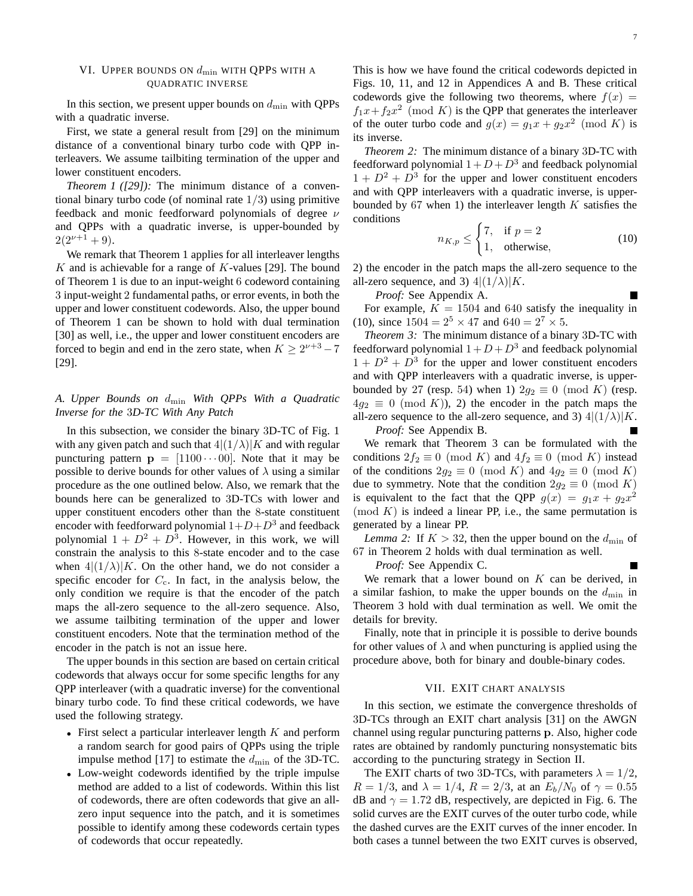## VI. UPPER BOUNDS ON  $d_{\min}$  with QPPS with a QUADRATIC INVERSE

In this section, we present upper bounds on  $d_{\min}$  with QPPs with a quadratic inverse.

First, we state a general result from [29] on the minimum distance of a conventional binary turbo code with QPP interleavers. We assume tailbiting termination of the upper and lower constituent encoders.

*Theorem 1 ([29]):* The minimum distance of a conventional binary turbo code (of nominal rate  $1/3$ ) using primitive feedback and monic feedforward polynomials of degree  $\nu$ and QPPs with a quadratic inverse, is upper-bounded by  $2(2^{\nu+1}+9)$ .

We remark that Theorem 1 applies for all interleaver lengths  $K$  and is achievable for a range of  $K$ -values [29]. The bound of Theorem 1 is due to an input-weight 6 codeword containing 3 input-weight 2 fundamental paths, or error events, in both the upper and lower constituent codewords. Also, the upper bound of Theorem 1 can be shown to hold with dual termination [30] as well, i.e., the upper and lower constituent encoders are forced to begin and end in the zero state, when  $K \ge 2^{\nu+3} - 7$ [29].

## *A. Upper Bounds on* dmin *With QPPs With a Quadratic Inverse for the* 3*D-TC With Any Patch*

In this subsection, we consider the binary 3D-TC of Fig. 1 with any given patch and such that  $4|(1/\lambda)|K$  and with regular puncturing pattern  $p = [1100 \cdots 00]$ . Note that it may be possible to derive bounds for other values of  $\lambda$  using a similar procedure as the one outlined below. Also, we remark that the bounds here can be generalized to 3D-TCs with lower and upper constituent encoders other than the 8-state constituent encoder with feedforward polynomial  $1+D+D^3$  and feedback polynomial  $1 + D^2 + D^3$ . However, in this work, we will constrain the analysis to this 8-state encoder and to the case when  $4|(1/\lambda)|K$ . On the other hand, we do not consider a specific encoder for  $C_c$ . In fact, in the analysis below, the only condition we require is that the encoder of the patch maps the all-zero sequence to the all-zero sequence. Also, we assume tailbiting termination of the upper and lower constituent encoders. Note that the termination method of the encoder in the patch is not an issue here.

The upper bounds in this section are based on certain critical codewords that always occur for some specific lengths for any QPP interleaver (with a quadratic inverse) for the conventional binary turbo code. To find these critical codewords, we have used the following strategy.

- First select a particular interleaver length  $K$  and perform a random search for good pairs of QPPs using the triple impulse method [17] to estimate the  $d_{\min}$  of the 3D-TC.
- Low-weight codewords identified by the triple impulse method are added to a list of codewords. Within this list of codewords, there are often codewords that give an allzero input sequence into the patch, and it is sometimes possible to identify among these codewords certain types of codewords that occur repeatedly.

This is how we have found the critical codewords depicted in Figs. 10, 11, and 12 in Appendices A and B. These critical codewords give the following two theorems, where  $f(x) =$  $f_1x + f_2x^2 \pmod{K}$  is the QPP that generates the interleaver of the outer turbo code and  $g(x) = g_1 x + g_2 x^2 \pmod{K}$  is its inverse.

*Theorem 2:* The minimum distance of a binary 3D-TC with feedforward polynomial  $1 + D + D<sup>3</sup>$  and feedback polynomial  $1 + D^2 + D^3$  for the upper and lower constituent encoders and with QPP interleavers with a quadratic inverse, is upperbounded by  $67$  when 1) the interleaver length  $K$  satisfies the conditions

$$
n_{K,p} \leq \begin{cases} 7, & \text{if } p = 2\\ 1, & \text{otherwise,} \end{cases}
$$
 (10)

2) the encoder in the patch maps the all-zero sequence to the all-zero sequence, and 3)  $4|(1/\lambda)|K$ .

*Proof:* See Appendix A.

For example,  $K = 1504$  and 640 satisfy the inequality in (10), since  $1504 = 2^5 \times 47$  and  $640 = 2^7 \times 5$ .

*Theorem 3:* The minimum distance of a binary 3D-TC with feedforward polynomial  $1 + D + D<sup>3</sup>$  and feedback polynomial  $1 + D^2 + D^3$  for the upper and lower constituent encoders and with QPP interleavers with a quadratic inverse, is upperbounded by 27 (resp. 54) when 1)  $2g_2 \equiv 0 \pmod{K}$  (resp.  $4g_2 \equiv 0 \pmod{K}$ , 2) the encoder in the patch maps the all-zero sequence to the all-zero sequence, and 3)  $4|(1/\lambda)|K$ .

*Proof:* See Appendix B.

We remark that Theorem 3 can be formulated with the conditions  $2f_2 \equiv 0 \pmod{K}$  and  $4f_2 \equiv 0 \pmod{K}$  instead of the conditions  $2g_2 \equiv 0 \pmod{K}$  and  $4g_2 \equiv 0 \pmod{K}$ due to symmetry. Note that the condition  $2g_2 \equiv 0 \pmod{K}$ is equivalent to the fact that the QPP  $g(x) = g_1x + g_2x^2$  $p(\mod K)$  is indeed a linear PP, i.e., the same permutation is generated by a linear PP.

*Lemma 2:* If  $K > 32$ , then the upper bound on the  $d_{\text{min}}$  of 67 in Theorem 2 holds with dual termination as well.

*Proof:* See Appendix C.

We remark that a lower bound on  $K$  can be derived, in a similar fashion, to make the upper bounds on the  $d_{\min}$  in Theorem 3 hold with dual termination as well. We omit the details for brevity.

Finally, note that in principle it is possible to derive bounds for other values of  $\lambda$  and when puncturing is applied using the procedure above, both for binary and double-binary codes.

## VII. EXIT CHART ANALYSIS

In this section, we estimate the convergence thresholds of 3D-TCs through an EXIT chart analysis [31] on the AWGN channel using regular puncturing patterns p. Also, higher code rates are obtained by randomly puncturing nonsystematic bits according to the puncturing strategy in Section II.

The EXIT charts of two 3D-TCs, with parameters  $\lambda = 1/2$ ,  $R = 1/3$ , and  $\lambda = 1/4$ ,  $R = 2/3$ , at an  $E_b/N_0$  of  $\gamma = 0.55$ dB and  $\gamma = 1.72$  dB, respectively, are depicted in Fig. 6. The solid curves are the EXIT curves of the outer turbo code, while the dashed curves are the EXIT curves of the inner encoder. In both cases a tunnel between the two EXIT curves is observed,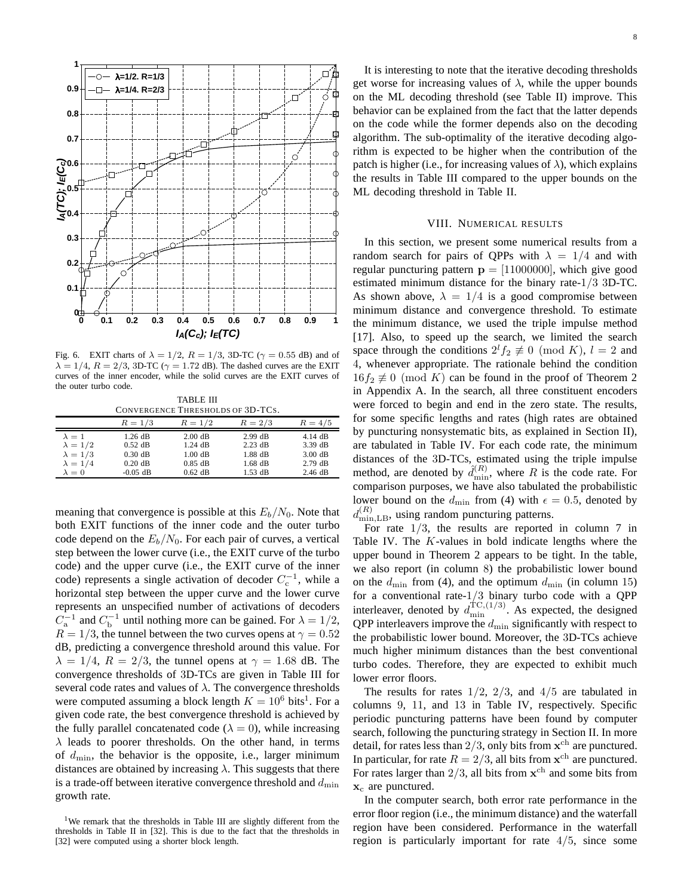

Fig. 6. EXIT charts of  $\lambda = 1/2$ ,  $R = 1/3$ , 3D-TC ( $\gamma = 0.55$  dB) and of  $\lambda = 1/4$ ,  $R = 2/3$ , 3D-TC ( $\gamma = 1.72$  dB). The dashed curves are the EXIT curves of the inner encoder, while the solid curves are the EXIT curves of the outer turbo code.

TABLE III CONVERGENCE THRESHOLDS OF 3D-TCS.

|                 | $R = 1/3$  | $R = 1/2$         | $R = 2/3$ | $R = 4/5$ |
|-----------------|------------|-------------------|-----------|-----------|
| $\lambda = 1$   | $1.26$ dB  | $2.00$ dB         | $2.99$ dB | $4.14$ dB |
| $\lambda = 1/2$ | $0.52$ dB  | $1.24$ dB         | $2.23$ dB | 3.39 dB   |
| $\lambda = 1/3$ | $0.30$ dB  | $1.00 \text{ dB}$ | $1.88$ dB | $3.00$ dB |
| $\lambda = 1/4$ | $0.20$ dB  | $0.85$ dB         | $1.68$ dB | $2.79$ dB |
| $\lambda = 0$   | $-0.05$ dB | $0.62$ dB         | $1.53$ dB | $2.46$ dB |

meaning that convergence is possible at this  $E_b/N_0$ . Note that both EXIT functions of the inner code and the outer turbo code depend on the  $E_b/N_0$ . For each pair of curves, a vertical step between the lower curve (i.e., the EXIT curve of the turbo code) and the upper curve (i.e., the EXIT curve of the inner code) represents a single activation of decoder  $C_c^{-1}$ , while a horizontal step between the upper curve and the lower curve represents an unspecified number of activations of decoders  $C_a^{-1}$  and  $C_b^{-1}$  until nothing more can be gained. For  $\lambda = 1/2$ ,  $R = 1/3$ , the tunnel between the two curves opens at  $\gamma = 0.52$ dB, predicting a convergence threshold around this value. For  $\lambda = 1/4$ ,  $R = 2/3$ , the tunnel opens at  $\gamma = 1.68$  dB. The convergence thresholds of 3D-TCs are given in Table III for several code rates and values of  $\lambda$ . The convergence thresholds were computed assuming a block length  $K = 10^6$  bits<sup>1</sup>. For a given code rate, the best convergence threshold is achieved by the fully parallel concatenated code ( $\lambda = 0$ ), while increasing  $\lambda$  leads to poorer thresholds. On the other hand, in terms of  $d_{\min}$ , the behavior is the opposite, i.e., larger minimum distances are obtained by increasing  $\lambda$ . This suggests that there is a trade-off between iterative convergence threshold and  $d_{\min}$ growth rate.

It is interesting to note that the iterative decoding thresholds get worse for increasing values of  $\lambda$ , while the upper bounds on the ML decoding threshold (see Table II) improve. This behavior can be explained from the fact that the latter depends on the code while the former depends also on the decoding algorithm. The sub-optimality of the iterative decoding algorithm is expected to be higher when the contribution of the patch is higher (i.e., for increasing values of  $\lambda$ ), which explains the results in Table III compared to the upper bounds on the ML decoding threshold in Table II.

## VIII. NUMERICAL RESULTS

In this section, we present some numerical results from a random search for pairs of QPPs with  $\lambda = 1/4$  and with regular puncturing pattern  $p = [11000000]$ , which give good estimated minimum distance for the binary rate-1/3 3D-TC. As shown above,  $\lambda = 1/4$  is a good compromise between minimum distance and convergence threshold. To estimate the minimum distance, we used the triple impulse method [17]. Also, to speed up the search, we limited the search space through the conditions  $2^{l} f_2 \not\equiv 0 \pmod{K}$ ,  $l = 2$  and 4, whenever appropriate. The rationale behind the condition  $16f_2 \not\equiv 0 \pmod{K}$  can be found in the proof of Theorem 2 in Appendix A. In the search, all three constituent encoders were forced to begin and end in the zero state. The results, for some specific lengths and rates (high rates are obtained by puncturing nonsystematic bits, as explained in Section II), are tabulated in Table IV. For each code rate, the minimum distances of the 3D-TCs, estimated using the triple impulse method, are denoted by  $\hat{d}_{\min}^{(R)}$ , where R is the code rate. For comparison purposes, we have also tabulated the probabilistic lower bound on the  $d_{\min}$  from (4) with  $\epsilon = 0.5$ , denoted by  $d_{\min, \text{LB}}^{(R)}$ , using random puncturing patterns.

For rate  $1/3$ , the results are reported in column 7 in Table IV. The  $K$ -values in bold indicate lengths where the upper bound in Theorem 2 appears to be tight. In the table, we also report (in column 8) the probabilistic lower bound on the  $d_{\min}$  from (4), and the optimum  $d_{\min}$  (in column 15) for a conventional rate-1/3 binary turbo code with a QPP interleaver, denoted by  $d_{\min}^{\text{TC},(1/3)}$ . As expected, the designed QPP interleavers improve the  $d_{\min}$  significantly with respect to the probabilistic lower bound. Moreover, the 3D-TCs achieve much higher minimum distances than the best conventional turbo codes. Therefore, they are expected to exhibit much lower error floors.

The results for rates  $1/2$ ,  $2/3$ , and  $4/5$  are tabulated in columns 9, 11, and 13 in Table IV, respectively. Specific periodic puncturing patterns have been found by computer search, following the puncturing strategy in Section II. In more detail, for rates less than  $2/3$ , only bits from  $\mathbf{x}^{\mathrm{ch}}$  are punctured. In particular, for rate  $R = 2/3$ , all bits from  $\mathbf{x}^{\text{ch}}$  are punctured. For rates larger than  $2/3$ , all bits from  $x<sup>ch</sup>$  and some bits from  $x_c$  are punctured.

In the computer search, both error rate performance in the error floor region (i.e., the minimum distance) and the waterfall region have been considered. Performance in the waterfall region is particularly important for rate 4/5, since some

<sup>&</sup>lt;sup>1</sup>We remark that the thresholds in Table III are slightly different from the thresholds in Table II in [32]. This is due to the fact that the thresholds in [32] were computed using a shorter block length.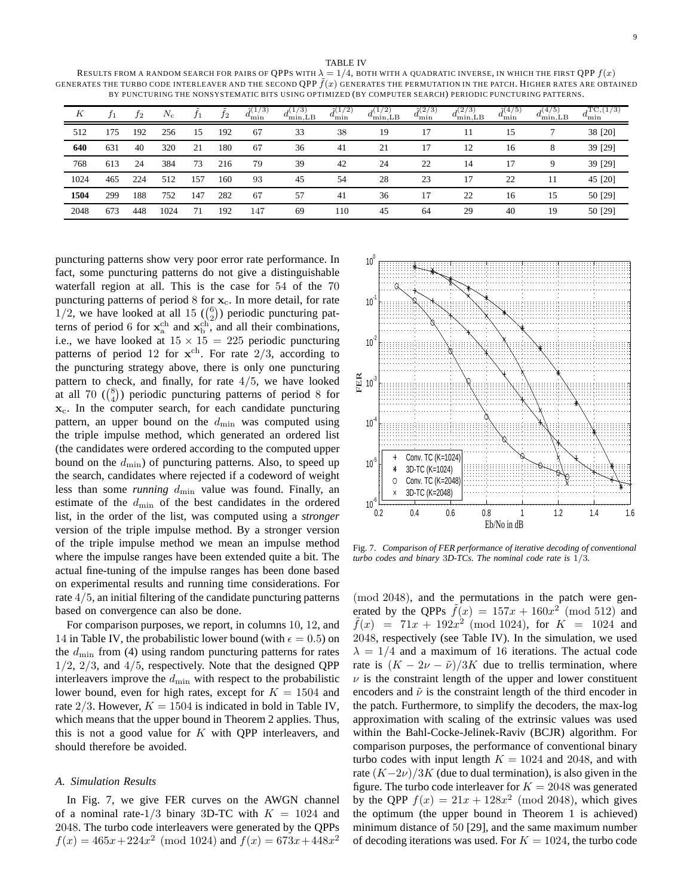TABLE IV

RESULTS FROM A RANDOM SEARCH FOR PAIRS OF QPPS WITH  $\lambda = 1/4$ , BOTH WITH A QUADRATIC INVERSE, IN WHICH THE FIRST QPP  $f(x)$ GENERATES THE TURBO CODE INTERLEAVER AND THE SECOND OPP  $f(x)$  generates the permutation in the patch. Higher rates are obtained BY PUNCTURING THE NONSYSTEMATIC BITS USING OPTIMIZED (BY COMPUTER SEARCH) PERIODIC PUNCTURING PATTERNS.

| К    |     | $_{12}$ | $N_{\rm c}$ | t1  | Ť2  | $\hat{y}(1/3)$<br>$u_{\min}$ | $a_{\text{min,LB}}$ | $\hat{\jmath}(1)$<br>(2)<br>$a_{\min}$ | 7 ( + )<br>$a_{\min, \text{LB}}$ | $\hat{\gamma}(2/3)$<br>$a_{\min}$ | (2/3)<br>$a_{\min, \text{LB}}$ | $\frac{2}{4}$ (4/5)<br>$d_{\min}$ | (4/5)<br>$d_{\min, \text{LB}}^{\left(\gamma, \gamma\right)}$ | $T_{J}C_{2}(1/3)$<br>$u_{\min}$ |
|------|-----|---------|-------------|-----|-----|------------------------------|---------------------|----------------------------------------|----------------------------------|-----------------------------------|--------------------------------|-----------------------------------|--------------------------------------------------------------|---------------------------------|
| 512  | 175 | 192     | 256         | 15  | 192 | 67                           | 33                  | 38                                     | 19                               | 17                                |                                | 15                                |                                                              | 38 [20]                         |
| 640  | 631 | 40      | 320         | 21  | 180 | 67                           | 36                  | 41                                     | 21                               | 17                                | 12                             | 16                                | 8                                                            | 39 [29]                         |
| 768  | 613 | 24      | 384         | 73  | 216 | 79                           | 39                  | 42                                     | 24                               | 22                                | 14                             | 17                                | 9                                                            | 39 [29]                         |
| 1024 | 465 | 224     | 512         | 157 | 160 | 93                           | 45                  | 54                                     | 28                               | 23                                | 17                             | 22                                | 11                                                           | 45 [20]                         |
| 1504 | 299 | 188     | 752         | 147 | 282 | 67                           | 57                  | 41                                     | 36                               | 17                                | 22                             | 16                                | 15                                                           | 50 [29]                         |
| 2048 | 673 | 448     | 1024        | 71  | 192 | 147                          | 69                  | 110                                    | 45                               | 64                                | 29                             | 40                                | 19                                                           | 50 [29]                         |

puncturing patterns show very poor error rate performance. In fact, some puncturing patterns do not give a distinguishable waterfall region at all. This is the case for 54 of the 70 puncturing patterns of period  $8$  for  $x_c$ . In more detail, for rate  $1/2$ , we have looked at all 15 ( $\binom{6}{2}$ ) periodic puncturing patterns of period 6 for  $\mathbf{x}_a^{\text{ch}}$  and  $\mathbf{x}_b^{\text{ch}}$ , and all their combinations, i.e., we have looked at  $15 \times 15 = 225$  periodic puncturing patterns of period 12 for  $x^{ch}$ . For rate  $2/3$ , according to the puncturing strategy above, there is only one puncturing pattern to check, and finally, for rate  $4/5$ , we have looked at all 70  $\binom{8}{4}$  periodic puncturing patterns of period 8 for  $x_c$ . In the computer search, for each candidate puncturing pattern, an upper bound on the  $d_{\min}$  was computed using the triple impulse method, which generated an ordered list (the candidates were ordered according to the computed upper bound on the  $d_{\min}$ ) of puncturing patterns. Also, to speed up the search, candidates where rejected if a codeword of weight less than some *running*  $d_{\min}$  value was found. Finally, an estimate of the  $d_{\text{min}}$  of the best candidates in the ordered list, in the order of the list, was computed using a *stronger* version of the triple impulse method. By a stronger version of the triple impulse method we mean an impulse method where the impulse ranges have been extended quite a bit. The actual fine-tuning of the impulse ranges has been done based on experimental results and running time considerations. For rate 4/5, an initial filtering of the candidate puncturing patterns based on convergence can also be done.

For comparison purposes, we report, in columns 10, 12, and 14 in Table IV, the probabilistic lower bound (with  $\epsilon = 0.5$ ) on the  $d_{\text{min}}$  from (4) using random puncturing patterns for rates  $1/2$ ,  $2/3$ , and  $4/5$ , respectively. Note that the designed QPP interleavers improve the  $d_{\min}$  with respect to the probabilistic lower bound, even for high rates, except for  $K = 1504$  and rate  $2/3$ . However,  $K = 1504$  is indicated in bold in Table IV, which means that the upper bound in Theorem 2 applies. Thus, this is not a good value for  $K$  with QPP interleavers, and should therefore be avoided.

## *A. Simulation Results*

In Fig. 7, we give FER curves on the AWGN channel of a nominal rate-1/3 binary 3D-TC with  $K = 1024$  and 2048. The turbo code interleavers were generated by the QPPs  $f(x) = 465x + 224x^2 \pmod{1024}$  and  $f(x) = 673x + 448x^2$ 



Fig. 7. *Comparison of FER performance of iterative decoding of conventional turbo codes and binary* 3*D-TCs. The nominal code rate is* 1/3*.*

(mod 2048), and the permutations in the patch were generated by the QPPs  $\tilde{f}(x) = 157x + 160x^2 \pmod{512}$  and  $\tilde{f}(x) = 71x + 192x^2 \pmod{1024}$ , for  $K = 1024$  and 2048, respectively (see Table IV). In the simulation, we used  $\lambda = 1/4$  and a maximum of 16 iterations. The actual code rate is  $(K - 2\nu - \tilde{\nu})/3K$  due to trellis termination, where  $\nu$  is the constraint length of the upper and lower constituent encoders and  $\tilde{\nu}$  is the constraint length of the third encoder in the patch. Furthermore, to simplify the decoders, the max-log approximation with scaling of the extrinsic values was used within the Bahl-Cocke-Jelinek-Raviv (BCJR) algorithm. For comparison purposes, the performance of conventional binary turbo codes with input length  $K = 1024$  and 2048, and with rate  $(K-2\nu)/3K$  (due to dual termination), is also given in the figure. The turbo code interleaver for  $K = 2048$  was generated by the QPP  $f(x) = 21x + 128x^2 \pmod{2048}$ , which gives the optimum (the upper bound in Theorem 1 is achieved) minimum distance of 50 [29], and the same maximum number of decoding iterations was used. For  $K = 1024$ , the turbo code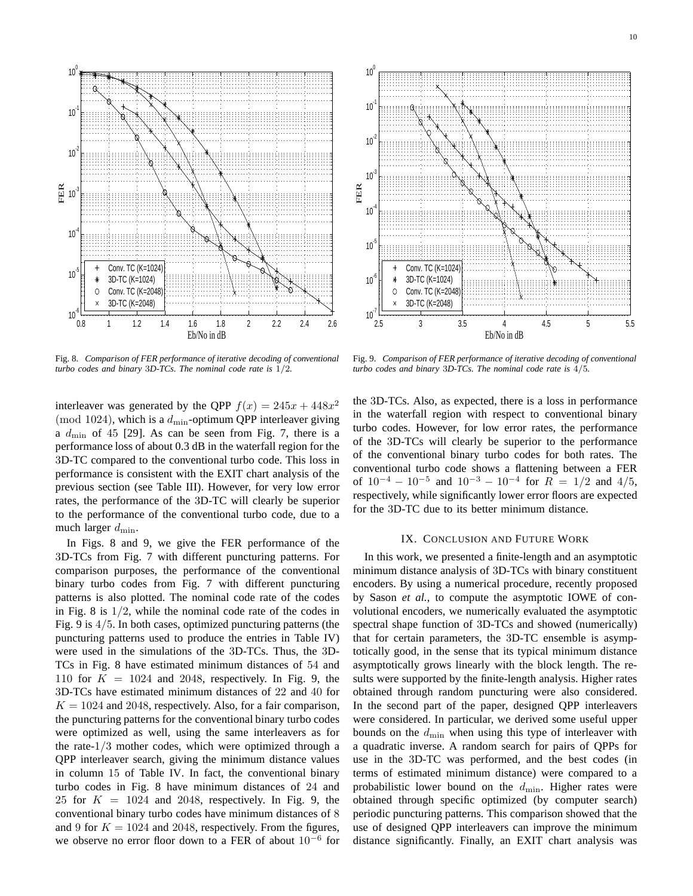

Fig. 8. *Comparison of FER performance of iterative decoding of conventional turbo codes and binary* 3*D-TCs. The nominal code rate is* 1/2*.*



Fig. 9. *Comparison of FER performance of iterative decoding of conventional turbo codes and binary* 3*D-TCs. The nominal code rate is* 4/5*.*

interleaver was generated by the QPP  $f(x) = 245x + 448x^2$ (mod 1024), which is a  $d_{\min}$ -optimum QPP interleaver giving a  $d_{\text{min}}$  of 45 [29]. As can be seen from Fig. 7, there is a performance loss of about 0.3 dB in the waterfall region for the 3D-TC compared to the conventional turbo code. This loss in performance is consistent with the EXIT chart analysis of the previous section (see Table III). However, for very low error rates, the performance of the 3D-TC will clearly be superior to the performance of the conventional turbo code, due to a much larger  $d_{\min}$ .

In Figs. 8 and 9, we give the FER performance of the 3D-TCs from Fig. 7 with different puncturing patterns. For comparison purposes, the performance of the conventional binary turbo codes from Fig. 7 with different puncturing patterns is also plotted. The nominal code rate of the codes in Fig. 8 is  $1/2$ , while the nominal code rate of the codes in Fig. 9 is 4/5. In both cases, optimized puncturing patterns (the puncturing patterns used to produce the entries in Table IV) were used in the simulations of the 3D-TCs. Thus, the 3D-TCs in Fig. 8 have estimated minimum distances of 54 and 110 for  $K = 1024$  and 2048, respectively. In Fig. 9, the 3D-TCs have estimated minimum distances of 22 and 40 for  $K = 1024$  and 2048, respectively. Also, for a fair comparison, the puncturing patterns for the conventional binary turbo codes were optimized as well, using the same interleavers as for the rate-1/3 mother codes, which were optimized through a QPP interleaver search, giving the minimum distance values in column 15 of Table IV. In fact, the conventional binary turbo codes in Fig. 8 have minimum distances of 24 and 25 for  $K = 1024$  and 2048, respectively. In Fig. 9, the conventional binary turbo codes have minimum distances of 8 and 9 for  $K = 1024$  and 2048, respectively. From the figures, we observe no error floor down to a FER of about  $10^{-6}$  for the 3D-TCs. Also, as expected, there is a loss in performance in the waterfall region with respect to conventional binary turbo codes. However, for low error rates, the performance of the 3D-TCs will clearly be superior to the performance of the conventional binary turbo codes for both rates. The conventional turbo code shows a flattening between a FER of  $10^{-4} - 10^{-5}$  and  $10^{-3} - 10^{-4}$  for  $R = 1/2$  and  $4/5$ , respectively, while significantly lower error floors are expected for the 3D-TC due to its better minimum distance.

## IX. CONCLUSION AND FUTURE WORK

In this work, we presented a finite-length and an asymptotic minimum distance analysis of 3D-TCs with binary constituent encoders. By using a numerical procedure, recently proposed by Sason *et al.*, to compute the asymptotic IOWE of convolutional encoders, we numerically evaluated the asymptotic spectral shape function of 3D-TCs and showed (numerically) that for certain parameters, the 3D-TC ensemble is asymptotically good, in the sense that its typical minimum distance asymptotically grows linearly with the block length. The results were supported by the finite-length analysis. Higher rates obtained through random puncturing were also considered. In the second part of the paper, designed QPP interleavers were considered. In particular, we derived some useful upper bounds on the  $d_{\min}$  when using this type of interleaver with a quadratic inverse. A random search for pairs of QPPs for use in the 3D-TC was performed, and the best codes (in terms of estimated minimum distance) were compared to a probabilistic lower bound on the  $d_{\min}$ . Higher rates were obtained through specific optimized (by computer search) periodic puncturing patterns. This comparison showed that the use of designed QPP interleavers can improve the minimum distance significantly. Finally, an EXIT chart analysis was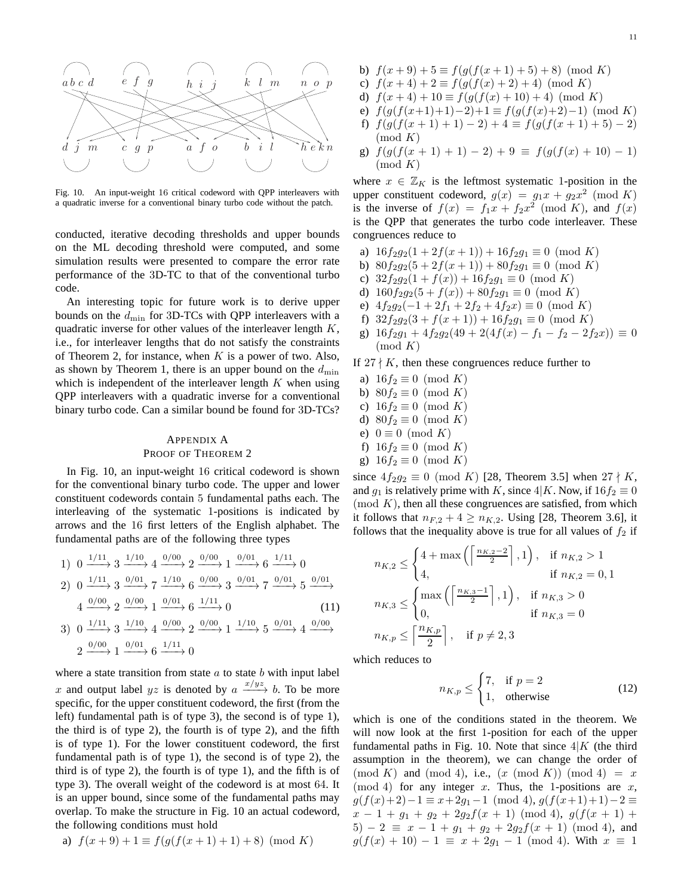

Fig. 10. An input-weight 16 critical codeword with QPP interleavers with a quadratic inverse for a conventional binary turbo code without the patch.

conducted, iterative decoding thresholds and upper bounds on the ML decoding threshold were computed, and some simulation results were presented to compare the error rate performance of the 3D-TC to that of the conventional turbo code.

An interesting topic for future work is to derive upper bounds on the  $d_{\min}$  for 3D-TCs with QPP interleavers with a quadratic inverse for other values of the interleaver length  $K$ , i.e., for interleaver lengths that do not satisfy the constraints of Theorem 2, for instance, when  $K$  is a power of two. Also, as shown by Theorem 1, there is an upper bound on the  $d_{\min}$ which is independent of the interleaver length  $K$  when using QPP interleavers with a quadratic inverse for a conventional binary turbo code. Can a similar bound be found for 3D-TCs?

## APPENDIX A PROOF OF THEOREM 2

In Fig. 10, an input-weight 16 critical codeword is shown for the conventional binary turbo code. The upper and lower constituent codewords contain 5 fundamental paths each. The interleaving of the systematic 1-positions is indicated by arrows and the 16 first letters of the English alphabet. The fundamental paths are of the following three types

1) 
$$
0 \xrightarrow{1/11} 3 \xrightarrow{1/10} 4 \xrightarrow{0/00} 2 \xrightarrow{0/00} 1 \xrightarrow{0/01} 6 \xrightarrow{1/11} 0
$$
  
\n2)  $0 \xrightarrow{1/11} 3 \xrightarrow{0/01} 7 \xrightarrow{1/10} 6 \xrightarrow{0/00} 3 \xrightarrow{0/01} 7 \xrightarrow{0/01} 5 \xrightarrow{0/01}$   
\n4  $\xrightarrow{0/00} 2 \xrightarrow{0/00} 1 \xrightarrow{0/01} 6 \xrightarrow{1/11} 0$  (11)  
\n3)  $0 \xrightarrow{1/11} 3 \xrightarrow{1/10} 4 \xrightarrow{0/00} 2 \xrightarrow{0/00} 1 \xrightarrow{1/10} 5 \xrightarrow{0/01} 4 \xrightarrow{0/00}$   
\n2  $\xrightarrow{0/00} 1 \xrightarrow{0/01} 6 \xrightarrow{1/11} 0$ 

where a state transition from state  $a$  to state  $b$  with input label x and output label  $yz$  is denoted by  $a \xrightarrow{x/yz} b$ . To be more specific, for the upper constituent codeword, the first (from the left) fundamental path is of type 3), the second is of type 1), the third is of type 2), the fourth is of type 2), and the fifth is of type 1). For the lower constituent codeword, the first fundamental path is of type 1), the second is of type 2), the third is of type 2), the fourth is of type 1), and the fifth is of type 3). The overall weight of the codeword is at most 64. It is an upper bound, since some of the fundamental paths may overlap. To make the structure in Fig. 10 an actual codeword, the following conditions must hold

a) 
$$
f(x+9) + 1 \equiv f(g(f(x+1)+1) + 8) \pmod{K}
$$

- c)  $f(x+4) + 2 \equiv f(g(f(x)+2) + 4) \pmod{K}$
- d)  $f(x+4) + 10 \equiv f(g(f(x) + 10) + 4) \pmod{K}$
- e)  $f(g(f(x+1)+1)-2)+1 \equiv f(g(f(x)+2)-1) \pmod{K}$
- f)  $f(g(f(x+1)+1)-2)+4 \equiv f(g(f(x+1)+5)-2)$  $\pmod{K}$
- g)  $f(g(f(x+1)+1)-2)+9 \equiv f(g(f(x)+10)-1)$  $\pmod{K}$

where  $x \in \mathbb{Z}_K$  is the leftmost systematic 1-position in the upper constituent codeword,  $g(x) = g_1x + g_2x^2 \pmod{K}$ is the inverse of  $f(x) = f_1x + f_2x^2 \pmod{K}$ , and  $f(x)$ is the QPP that generates the turbo code interleaver. These congruences reduce to

- a)  $16f_2g_2(1+2f(x+1))+16f_2g_1 \equiv 0 \pmod{K}$
- b)  $80f_2g_2(5+2f(x+1))+80f_2g_1 \equiv 0 \pmod{K}$
- c)  $32f_2g_2(1+f(x))+16f_2g_1 \equiv 0 \pmod{K}$
- d)  $160f_2g_2(5 + f(x)) + 80f_2g_1 \equiv 0 \pmod{K}$
- e)  $4f_2g_2(-1+2f_1+2f_2+4f_2x) \equiv 0 \pmod{K}$
- f)  $32f_2g_2(3+f(x+1))+16f_2g_1 \equiv 0 \pmod{K}$
- g)  $16f_2g_1 + 4f_2g_2(49 + 2(4f(x) f_1 f_2 2f_2x)) \equiv 0$  $\pmod{K}$

If  $27 \nmid K$ , then these congruences reduce further to

- a)  $16f_2 \equiv 0 \pmod{K}$
- b)  $80f_2 \equiv 0 \pmod{K}$
- c)  $16f_2 \equiv 0 \pmod{K}$
- d)  $80f_2 \equiv 0 \pmod{K}$
- e)  $0 \equiv 0 \pmod{K}$
- f)  $16f_2 \equiv 0 \pmod{K}$
- g)  $16f_2 \equiv 0 \pmod{K}$

since  $4f_2g_2 \equiv 0 \pmod{K}$  [28, Theorem 3.5] when  $27 \nmid K$ , and  $g_1$  is relatively prime with K, since  $4|K$ . Now, if  $16f_2 \equiv 0$  $p(\mod K)$ , then all these congruences are satisfied, from which it follows that  $n_{F,2} + 4 \ge n_{K,2}$ . Using [28, Theorem 3.6], it follows that the inequality above is true for all values of  $f_2$  if

$$
n_{K,2} \le \begin{cases} 4 + \max\left(\left\lceil \frac{n_{K,2} - 2}{2} \right\rceil, 1\right), & \text{if } n_{K,2} > 1\\ 4, & \text{if } n_{K,2} = 0, 1 \end{cases}
$$
  

$$
n_{K,3} \le \begin{cases} \max\left(\left\lceil \frac{n_{K,3} - 1}{2} \right\rceil, 1\right), & \text{if } n_{K,3} > 0\\ 0, & \text{if } n_{K,3} = 0 \end{cases}
$$
  

$$
n_{K,p} \le \left\lceil \frac{n_{K,p}}{2} \right\rceil, \quad \text{if } p \neq 2, 3
$$

which reduces to

$$
n_{K,p} \leq \begin{cases} 7, & \text{if } p = 2\\ 1, & \text{otherwise} \end{cases} \tag{12}
$$

which is one of the conditions stated in the theorem. We will now look at the first 1-position for each of the upper fundamental paths in Fig. 10. Note that since  $4|K$  (the third assumption in the theorem), we can change the order of  $p \pmod{K}$  and  $p \pmod{4}$ , i.e.,  $(x \pmod{K})$   $p \pmod{4} = x$  $p(\text{mod } 4)$  for any integer x. Thus, the 1-positions are x,  $g(f(x)+2)-1 \equiv x+2g_1-1 \pmod{4}$ ,  $g(f(x+1)+1)-2 \equiv$  $x - 1 + g_1 + g_2 + 2g_2f(x + 1) \pmod{4}$ ,  $g(f(x + 1) +$  $5) - 2 \equiv x - 1 + g_1 + g_2 + 2g_2f(x+1) \pmod{4}$ , and  $g(f(x) + 10) - 1 \equiv x + 2g_1 - 1 \pmod{4}$ . With  $x \equiv 1$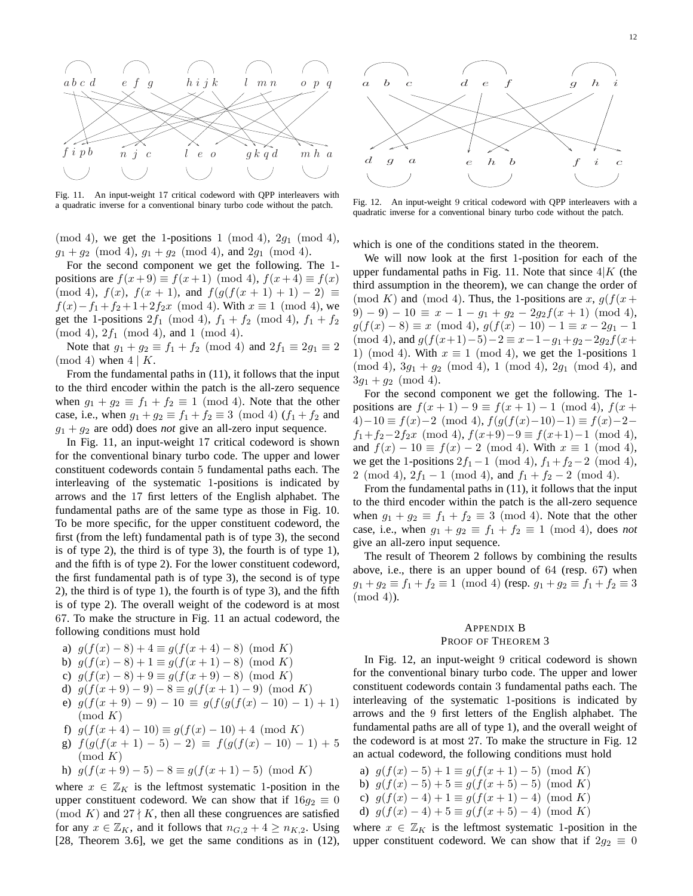

Fig. 11. An input-weight 17 critical codeword with QPP interleavers with a quadratic inverse for a conventional binary turbo code without the patch.

 $\pmod{4}$ , we get the 1-positions 1  $\pmod{4}$ , 2 $g_1 \pmod{4}$ ,  $g_1 + g_2 \pmod{4}$ ,  $g_1 + g_2 \pmod{4}$ , and  $2g_1 \pmod{4}$ .

For the second component we get the following. The 1 positions are  $f(x+9) \equiv f(x+1) \pmod{4}$ ,  $f(x+4) \equiv f(x)$ (mod 4),  $f(x)$ ,  $f(x + 1)$ , and  $f(g(f(x + 1) + 1) - 2) \equiv$  $f(x) - f_1 + f_2 + 1 + 2f_2x \pmod{4}$ . With  $x \equiv 1 \pmod{4}$ , we get the 1-positions  $2f_1 \pmod{4}$ ,  $f_1 + f_2 \pmod{4}$ ,  $f_1 + f_2$  $(mod 4), 2f<sub>1</sub> (mod 4), and 1 (mod 4).$ 

Note that  $g_1 + g_2 \equiv f_1 + f_2 \pmod{4}$  and  $2f_1 \equiv 2g_1 \equiv 2$ (mod 4) when  $4 \mid K$ .

From the fundamental paths in (11), it follows that the input to the third encoder within the patch is the all-zero sequence when  $g_1 + g_2 \equiv f_1 + f_2 \equiv 1 \pmod{4}$ . Note that the other case, i.e., when  $g_1 + g_2 \equiv f_1 + f_2 \equiv 3 \pmod{4}$   $(f_1 + f_2)$  and  $g_1 + g_2$  are odd) does *not* give an all-zero input sequence.

In Fig. 11, an input-weight 17 critical codeword is shown for the conventional binary turbo code. The upper and lower constituent codewords contain 5 fundamental paths each. The interleaving of the systematic 1-positions is indicated by arrows and the 17 first letters of the English alphabet. The fundamental paths are of the same type as those in Fig. 10. To be more specific, for the upper constituent codeword, the first (from the left) fundamental path is of type 3), the second is of type 2), the third is of type 3), the fourth is of type 1), and the fifth is of type 2). For the lower constituent codeword, the first fundamental path is of type 3), the second is of type 2), the third is of type 1), the fourth is of type 3), and the fifth is of type 2). The overall weight of the codeword is at most 67. To make the structure in Fig. 11 an actual codeword, the following conditions must hold

- a)  $g(f(x) 8) + 4 \equiv g(f(x + 4) 8) \pmod{K}$
- b)  $g(f(x) 8) + 1 \equiv g(f(x+1) 8) \pmod{K}$
- c)  $g(f(x) 8) + 9 \equiv g(f(x+9) 8) \pmod{K}$
- d)  $g(f(x+9)-9)-8 \equiv g(f(x+1)-9) \pmod{K}$
- e)  $g(f(x+9)-9)-10 \equiv g(f(g(f(x)-10)-1)+1)$  $\pmod{K}$
- f)  $g(f(x+4)-10) \equiv g(f(x)-10)+4 \pmod{K}$
- g)  $f(g(f(x+1)-5)-2) \equiv f(g(f(x)-10)-1)+5$  $\pmod{K}$

h) 
$$
g(f(x+9)-5)-8 \equiv g(f(x+1)-5) \pmod{K}
$$

where  $x \in \mathbb{Z}_K$  is the leftmost systematic 1-position in the upper constituent codeword. We can show that if  $16g_2 \equiv 0$ (mod K) and  $27 \nmid K$ , then all these congruences are satisfied for any  $x \in \mathbb{Z}_K$ , and it follows that  $n_{G,2} + 4 \ge n_{K,2}$ . Using [28, Theorem 3.6], we get the same conditions as in (12),



Fig. 12. An input-weight 9 critical codeword with QPP interleavers with a quadratic inverse for a conventional binary turbo code without the patch.

which is one of the conditions stated in the theorem.

We will now look at the first 1-position for each of the upper fundamental paths in Fig. 11. Note that since  $4|K$  (the third assumption in the theorem), we can change the order of (mod K) and (mod 4). Thus, the 1-positions are x,  $g(f(x +$  $(9) - 9 - 10 \equiv x - 1 - q_1 + q_2 - 2q_2f(x + 1) \pmod{4}$  $g(f(x) - 8) \equiv x \pmod{4}$ ,  $g(f(x) - 10) - 1 \equiv x - 2g_1 - 1$ (mod 4), and  $g(f(x+1)-5)-2 \equiv x-1-q_1+q_2-2q_2f(x+$ 1) (mod 4). With  $x \equiv 1 \pmod{4}$ , we get the 1-positions 1  $(mod 4), 3g<sub>1</sub> + g<sub>2</sub> (mod 4), 1 (mod 4), 2g<sub>1</sub> (mod 4), and$  $3g_1 + g_2 \pmod{4}$ .

For the second component we get the following. The 1 positions are  $f(x+1) - 9 \equiv f(x+1) - 1 \pmod{4}$ ,  $f(x+1)$  $(4)-10 \equiv f(x)-2 \pmod{4}$ ,  $f(g(f(x)-10)-1) \equiv f(x)-2$  $f_1+f_2-2f_2x \pmod{4}$ ,  $f(x+9)-9 \equiv f(x+1)-1 \pmod{4}$ , and  $f(x) - 10 \equiv f(x) - 2 \pmod{4}$ . With  $x \equiv 1 \pmod{4}$ , we get the 1-positions  $2f_1 - 1 \pmod{4}$ ,  $f_1 + f_2 - 2 \pmod{4}$ , 2 (mod 4),  $2f_1 - 1 \pmod{4}$ , and  $f_1 + f_2 - 2 \pmod{4}$ .

From the fundamental paths in (11), it follows that the input to the third encoder within the patch is the all-zero sequence when  $g_1 + g_2 \equiv f_1 + f_2 \equiv 3 \pmod{4}$ . Note that the other case, i.e., when  $g_1 + g_2 \equiv f_1 + f_2 \equiv 1 \pmod{4}$ , does *not* give an all-zero input sequence.

The result of Theorem 2 follows by combining the results above, i.e., there is an upper bound of 64 (resp. 67) when  $g_1 + g_2 \equiv f_1 + f_2 \equiv 1 \pmod{4}$  (resp.  $g_1 + g_2 \equiv f_1 + f_2 \equiv 3$ (mod 4)).

## APPENDIX B

## PROOF OF THEOREM 3

In Fig. 12, an input-weight 9 critical codeword is shown for the conventional binary turbo code. The upper and lower constituent codewords contain 3 fundamental paths each. The interleaving of the systematic 1-positions is indicated by arrows and the 9 first letters of the English alphabet. The fundamental paths are all of type 1), and the overall weight of the codeword is at most 27. To make the structure in Fig. 12 an actual codeword, the following conditions must hold

a)  $g(f(x) - 5) + 1 \equiv g(f(x + 1) - 5) \pmod{K}$ b)  $g(f(x) - 5) + 5 \equiv g(f(x + 5) - 5) \pmod{K}$ c)  $g(f(x) - 4) + 1 \equiv g(f(x + 1) - 4) \pmod{K}$ d)  $q(f(x) - 4) + 5 \equiv q(f(x + 5) - 4) \pmod{K}$ 

where  $x \in \mathbb{Z}_K$  is the leftmost systematic 1-position in the upper constituent codeword. We can show that if  $2q_2 \equiv 0$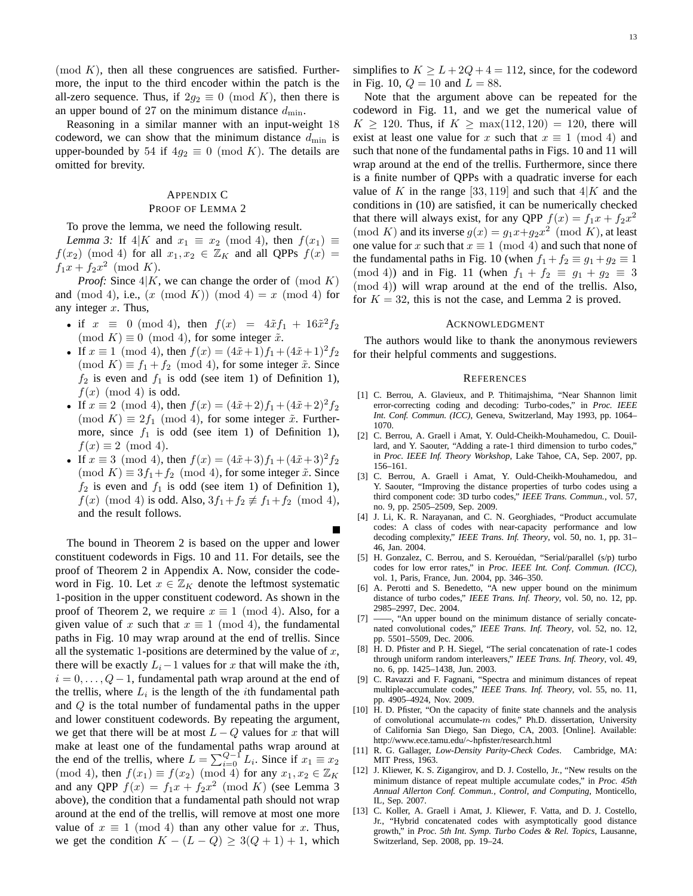$p(\mod K)$ , then all these congruences are satisfied. Furthermore, the input to the third encoder within the patch is the all-zero sequence. Thus, if  $2g_2 \equiv 0 \pmod{K}$ , then there is an upper bound of 27 on the minimum distance  $d_{\min}$ .

Reasoning in a similar manner with an input-weight 18 codeword, we can show that the minimum distance  $d_{\min}$  is upper-bounded by 54 if  $4g_2 \equiv 0 \pmod{K}$ . The details are omitted for brevity.

## APPENDIX C PROOF OF LEMMA 2

To prove the lemma, we need the following result.

*Lemma 3:* If  $4|K$  and  $x_1 \equiv x_2 \pmod{4}$ , then  $f(x_1) \equiv$  $f(x_2) \pmod{4}$  for all  $x_1, x_2 \in \mathbb{Z}_K$  and all QPPs  $f(x) =$  $f_1x + f_2x^2 \pmod{K}.$ 

*Proof:* Since  $4|K$ , we can change the order of  $p$  (mod K) and (mod 4), i.e.,  $(x \pmod{K})$  (mod 4) = x (mod 4) for any integer  $x$ . Thus,

- if  $x \equiv 0 \pmod{4}$ , then  $f(x) = 4 \tilde{x} f_1 + 16 \tilde{x}^2 f_2$ (mod K)  $\equiv 0 \pmod{4}$ , for some integer  $\tilde{x}$ .
- If  $x \equiv 1 \pmod{4}$ , then  $f(x) = (4\tilde{x} + 1)f_1 + (4\tilde{x} + 1)^2 f_2$  $(\text{mod } K) \equiv f_1 + f_2 \pmod{4}$ , for some integer  $\tilde{x}$ . Since  $f_2$  is even and  $f_1$  is odd (see item 1) of Definition 1),  $f(x) \pmod{4}$  is odd.
- If  $x \equiv 2 \pmod{4}$ , then  $f(x) = (4\tilde{x} + 2)f_1 + (4\tilde{x} + 2)^2 f_2$  $(\text{mod } K) \equiv 2f_1 \pmod{4}$ , for some integer  $\tilde{x}$ . Furthermore, since  $f_1$  is odd (see item 1) of Definition 1),  $f(x) \equiv 2 \pmod{4}$ .
- If  $x \equiv 3 \pmod{4}$ , then  $f(x) = (4\tilde{x} + 3)f_1 + (4\tilde{x} + 3)^2 f_2$  $\pmod{K} \equiv 3f_1+f_2 \pmod{4}$ , for some integer  $\tilde{x}$ . Since  $f_2$  is even and  $f_1$  is odd (see item 1) of Definition 1),  $f(x) \pmod{4}$  is odd. Also,  $3f_1+f_2 \not\equiv f_1+f_2 \pmod{4}$ , and the result follows.

The bound in Theorem 2 is based on the upper and lower constituent codewords in Figs. 10 and 11. For details, see the proof of Theorem 2 in Appendix A. Now, consider the codeword in Fig. 10. Let  $x \in \mathbb{Z}_K$  denote the leftmost systematic 1-position in the upper constituent codeword. As shown in the proof of Theorem 2, we require  $x \equiv 1 \pmod{4}$ . Also, for a given value of x such that  $x \equiv 1 \pmod{4}$ , the fundamental paths in Fig. 10 may wrap around at the end of trellis. Since all the systematic 1-positions are determined by the value of  $x$ , there will be exactly  $L_i-1$  values for x that will make the *i*th,  $i = 0, \ldots, Q-1$ , fundamental path wrap around at the end of the trellis, where  $L_i$  is the length of the *i*th fundamental path and Q is the total number of fundamental paths in the upper and lower constituent codewords. By repeating the argument, we get that there will be at most  $L - Q$  values for x that will make at least one of the fundamental paths wrap around at the end of the trellis, where  $L = \sum_{i=0}^{Q-1} L_i$ . Since if  $x_1 \equiv x_2$ (mod 4), then  $f(x_1) \equiv f(x_2) \pmod{4}$  for any  $x_1, x_2 \in \mathbb{Z}_K$ and any QPP  $f(x) = f_1x + f_2x^2 \pmod{K}$  (see Lemma 3 above), the condition that a fundamental path should not wrap around at the end of the trellis, will remove at most one more value of  $x \equiv 1 \pmod{4}$  than any other value for x. Thus, we get the condition  $K - (L - Q) \geq 3(Q + 1) + 1$ , which

simplifies to  $K \ge L + 2Q + 4 = 112$ , since, for the codeword in Fig. 10,  $Q = 10$  and  $L = 88$ .

Note that the argument above can be repeated for the codeword in Fig. 11, and we get the numerical value of  $K \ge 120$ . Thus, if  $K \ge \max(112, 120) = 120$ , there will exist at least one value for x such that  $x \equiv 1 \pmod{4}$  and such that none of the fundamental paths in Figs. 10 and 11 will wrap around at the end of the trellis. Furthermore, since there is a finite number of QPPs with a quadratic inverse for each value of K in the range [33, 119] and such that  $4|K$  and the conditions in (10) are satisfied, it can be numerically checked that there will always exist, for any QPP  $f(x) = f_1x + f_2x^2$ (mod K) and its inverse  $g(x) = g_1x+g_2x^2 \pmod{K}$ , at least one value for x such that  $x \equiv 1 \pmod{4}$  and such that none of the fundamental paths in Fig. 10 (when  $f_1 + f_2 \equiv g_1 + g_2 \equiv 1$ (mod 4)) and in Fig. 11 (when  $f_1 + f_2 \equiv g_1 + g_2 \equiv 3$ (mod 4)) will wrap around at the end of the trellis. Also, for  $K = 32$ , this is not the case, and Lemma 2 is proved.

#### ACKNOWLEDGMENT

The authors would like to thank the anonymous reviewers for their helpful comments and suggestions.

#### **REFERENCES**

- [1] C. Berrou, A. Glavieux, and P. Thitimajshima, "Near Shannon limit error-correcting coding and decoding: Turbo-codes," in *Proc. IEEE Int. Conf. Commun. (ICC)*, Geneva, Switzerland, May 1993, pp. 1064– 1070.
- [2] C. Berrou, A. Graell i Amat, Y. Ould-Cheikh-Mouhamedou, C. Douillard, and Y. Saouter, "Adding a rate-1 third dimension to turbo codes," in *Proc. IEEE Inf. Theory Workshop*, Lake Tahoe, CA, Sep. 2007, pp. 156–161.
- [3] C. Berrou, A. Graell i Amat, Y. Ould-Cheikh-Mouhamedou, and Y. Saouter, "Improving the distance properties of turbo codes using a third component code: 3D turbo codes," *IEEE Trans. Commun.*, vol. 57, no. 9, pp. 2505–2509, Sep. 2009.
- [4] J. Li, K. R. Narayanan, and C. N. Georghiades, "Product accumulate codes: A class of codes with near-capacity performance and low decoding complexity," *IEEE Trans. Inf. Theory*, vol. 50, no. 1, pp. 31– 46, Jan. 2004.
- [5] H. Gonzalez, C. Berrou, and S. Kerouédan, "Serial/parallel (s/p) turbo codes for low error rates," in *Proc. IEEE Int. Conf. Commun. (ICC)*, vol. 1, Paris, France, Jun. 2004, pp. 346–350.
- [6] A. Perotti and S. Benedetto, "A new upper bound on the minimum distance of turbo codes," *IEEE Trans. Inf. Theory*, vol. 50, no. 12, pp. 2985–2997, Dec. 2004.
- [7] ——, "An upper bound on the minimum distance of serially concatenated convolutional codes," *IEEE Trans. Inf. Theory*, vol. 52, no. 12, pp. 5501–5509, Dec. 2006.
- [8] H. D. Pfister and P. H. Siegel, "The serial concatenation of rate-1 codes through uniform random interleavers," *IEEE Trans. Inf. Theory*, vol. 49, no. 6, pp. 1425–1438, Jun. 2003.
- [9] C. Ravazzi and F. Fagnani, "Spectra and minimum distances of repeat multiple-accumulate codes," *IEEE Trans. Inf. Theory*, vol. 55, no. 11, pp. 4905–4924, Nov. 2009.
- [10] H. D. Pfister, "On the capacity of finite state channels and the analysis of convolutional accumulate- $m$  codes," Ph.D. dissertation, University of California San Diego, San Diego, CA, 2003. [Online]. Available: http://www.ece.tamu.edu/∼hpfister/research.html
- [11] R. G. Gallager, *Low-Density Parity-Check Codes*. Cambridge, MA: MIT Press, 1963.
- [12] J. Kliewer, K. S. Zigangirov, and D. J. Costello, Jr., "New results on the minimum distance of repeat multiple accumulate codes," in *Proc. 45th Annual Allerton Conf. Commun., Control, and Computing*, Monticello, IL, Sep. 2007.
- [13] C. Koller, A. Graell i Amat, J. Kliewer, F. Vatta, and D. J. Costello, Jr., "Hybrid concatenated codes with asymptotically good distance growth," in *Proc. 5th Int. Symp. Turbo Codes & Rel. Topics*, Lausanne, Switzerland, Sep. 2008, pp. 19–24.